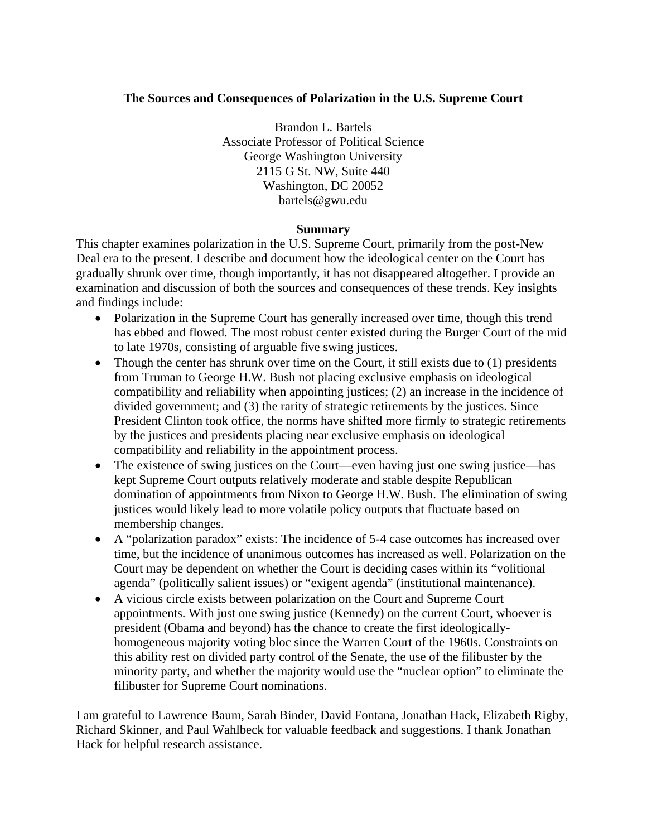## **The Sources and Consequences of Polarization in the U.S. Supreme Court**

Brandon L. Bartels Associate Professor of Political Science George Washington University 2115 G St. NW, Suite 440 Washington, DC 20052 bartels@gwu.edu

## **Summary**

This chapter examines polarization in the U.S. Supreme Court, primarily from the post-New Deal era to the present. I describe and document how the ideological center on the Court has gradually shrunk over time, though importantly, it has not disappeared altogether. I provide an examination and discussion of both the sources and consequences of these trends. Key insights and findings include:

- Polarization in the Supreme Court has generally increased over time, though this trend has ebbed and flowed. The most robust center existed during the Burger Court of the mid to late 1970s, consisting of arguable five swing justices.
- Though the center has shrunk over time on the Court, it still exists due to  $(1)$  presidents from Truman to George H.W. Bush not placing exclusive emphasis on ideological compatibility and reliability when appointing justices; (2) an increase in the incidence of divided government; and (3) the rarity of strategic retirements by the justices. Since President Clinton took office, the norms have shifted more firmly to strategic retirements by the justices and presidents placing near exclusive emphasis on ideological compatibility and reliability in the appointment process.
- The existence of swing justices on the Court—even having just one swing justice—has kept Supreme Court outputs relatively moderate and stable despite Republican domination of appointments from Nixon to George H.W. Bush. The elimination of swing justices would likely lead to more volatile policy outputs that fluctuate based on membership changes.
- A "polarization paradox" exists: The incidence of 5-4 case outcomes has increased over time, but the incidence of unanimous outcomes has increased as well. Polarization on the Court may be dependent on whether the Court is deciding cases within its "volitional agenda" (politically salient issues) or "exigent agenda" (institutional maintenance).
- A vicious circle exists between polarization on the Court and Supreme Court appointments. With just one swing justice (Kennedy) on the current Court, whoever is president (Obama and beyond) has the chance to create the first ideologicallyhomogeneous majority voting bloc since the Warren Court of the 1960s. Constraints on this ability rest on divided party control of the Senate, the use of the filibuster by the minority party, and whether the majority would use the "nuclear option" to eliminate the filibuster for Supreme Court nominations.

I am grateful to Lawrence Baum, Sarah Binder, David Fontana, Jonathan Hack, Elizabeth Rigby, Richard Skinner, and Paul Wahlbeck for valuable feedback and suggestions. I thank Jonathan Hack for helpful research assistance.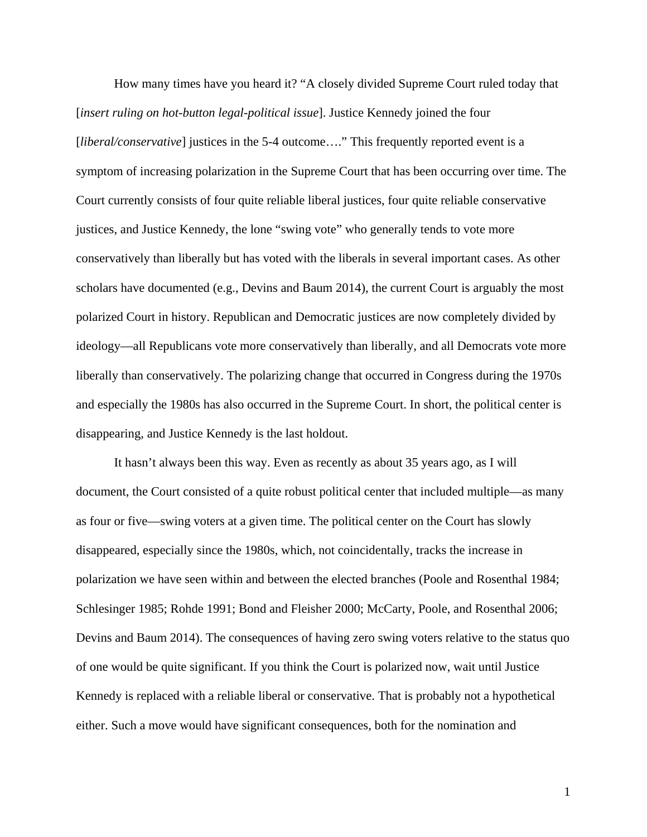How many times have you heard it? "A closely divided Supreme Court ruled today that [*insert ruling on hot-button legal-political issue*]. Justice Kennedy joined the four [*liberal/conservative*] justices in the 5-4 outcome...." This frequently reported event is a symptom of increasing polarization in the Supreme Court that has been occurring over time. The Court currently consists of four quite reliable liberal justices, four quite reliable conservative justices, and Justice Kennedy, the lone "swing vote" who generally tends to vote more conservatively than liberally but has voted with the liberals in several important cases. As other scholars have documented (e.g., Devins and Baum 2014), the current Court is arguably the most polarized Court in history. Republican and Democratic justices are now completely divided by ideology—all Republicans vote more conservatively than liberally, and all Democrats vote more liberally than conservatively. The polarizing change that occurred in Congress during the 1970s and especially the 1980s has also occurred in the Supreme Court. In short, the political center is disappearing, and Justice Kennedy is the last holdout.

It hasn't always been this way. Even as recently as about 35 years ago, as I will document, the Court consisted of a quite robust political center that included multiple—as many as four or five—swing voters at a given time. The political center on the Court has slowly disappeared, especially since the 1980s, which, not coincidentally, tracks the increase in polarization we have seen within and between the elected branches (Poole and Rosenthal 1984; Schlesinger 1985; Rohde 1991; Bond and Fleisher 2000; McCarty, Poole, and Rosenthal 2006; Devins and Baum 2014). The consequences of having zero swing voters relative to the status quo of one would be quite significant. If you think the Court is polarized now, wait until Justice Kennedy is replaced with a reliable liberal or conservative. That is probably not a hypothetical either. Such a move would have significant consequences, both for the nomination and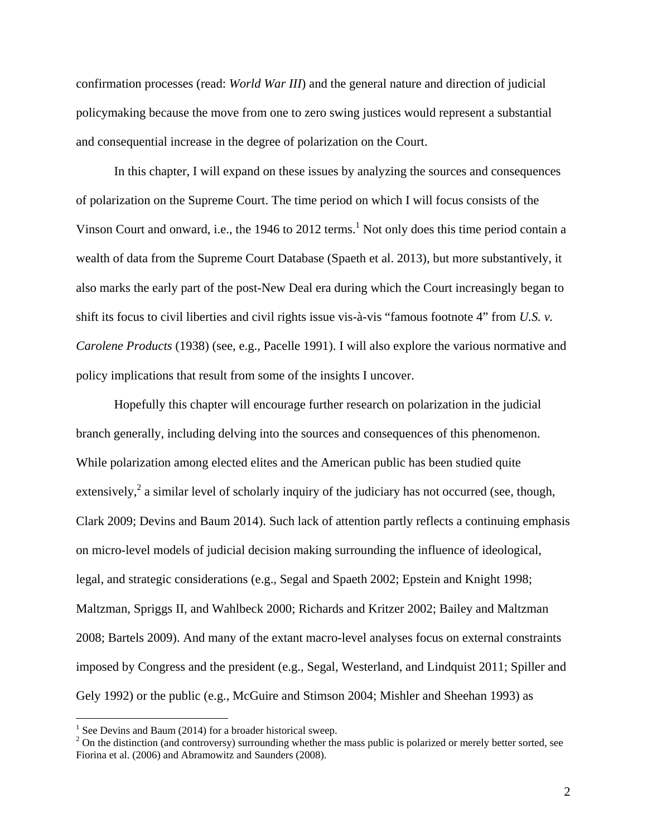confirmation processes (read: *World War III*) and the general nature and direction of judicial policymaking because the move from one to zero swing justices would represent a substantial and consequential increase in the degree of polarization on the Court.

In this chapter, I will expand on these issues by analyzing the sources and consequences of polarization on the Supreme Court. The time period on which I will focus consists of the Vinson Court and onward, i.e., the 1946 to 2012 terms.<sup>1</sup> Not only does this time period contain a wealth of data from the Supreme Court Database (Spaeth et al. 2013), but more substantively, it also marks the early part of the post-New Deal era during which the Court increasingly began to shift its focus to civil liberties and civil rights issue vis-à-vis "famous footnote 4" from *U.S. v. Carolene Products* (1938) (see, e.g., Pacelle 1991). I will also explore the various normative and policy implications that result from some of the insights I uncover.

Hopefully this chapter will encourage further research on polarization in the judicial branch generally, including delving into the sources and consequences of this phenomenon. While polarization among elected elites and the American public has been studied quite extensively,<sup>2</sup> a similar level of scholarly inquiry of the judiciary has not occurred (see, though, Clark 2009; Devins and Baum 2014). Such lack of attention partly reflects a continuing emphasis on micro-level models of judicial decision making surrounding the influence of ideological, legal, and strategic considerations (e.g., Segal and Spaeth 2002; Epstein and Knight 1998; Maltzman, Spriggs II, and Wahlbeck 2000; Richards and Kritzer 2002; Bailey and Maltzman 2008; Bartels 2009). And many of the extant macro-level analyses focus on external constraints imposed by Congress and the president (e.g., Segal, Westerland, and Lindquist 2011; Spiller and Gely 1992) or the public (e.g., McGuire and Stimson 2004; Mishler and Sheehan 1993) as

 $\overline{a}$ 

 $<sup>1</sup>$  See Devins and Baum (2014) for a broader historical sweep.</sup>

 $2$  On the distinction (and controversy) surrounding whether the mass public is polarized or merely better sorted, see Fiorina et al. (2006) and Abramowitz and Saunders (2008).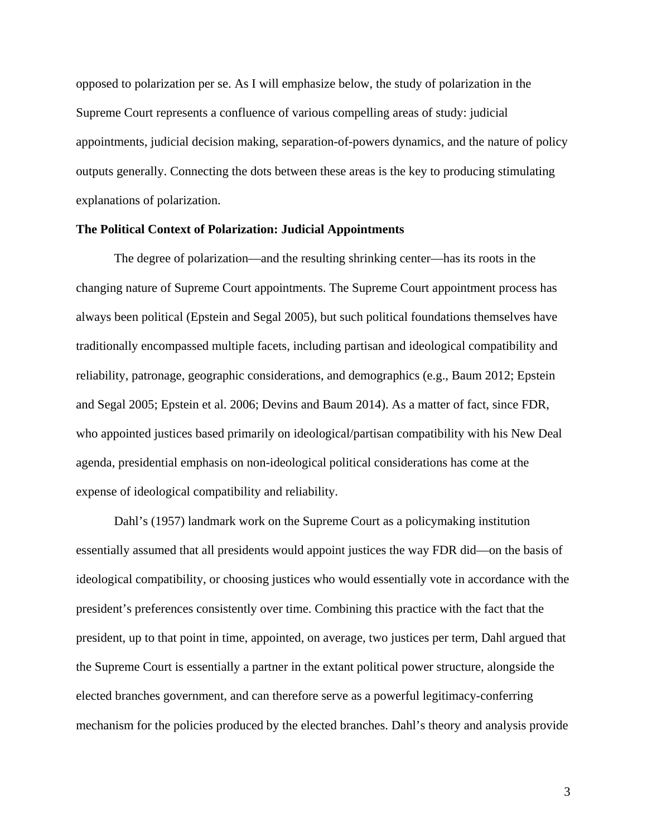opposed to polarization per se. As I will emphasize below, the study of polarization in the Supreme Court represents a confluence of various compelling areas of study: judicial appointments, judicial decision making, separation-of-powers dynamics, and the nature of policy outputs generally. Connecting the dots between these areas is the key to producing stimulating explanations of polarization.

### **The Political Context of Polarization: Judicial Appointments**

The degree of polarization—and the resulting shrinking center—has its roots in the changing nature of Supreme Court appointments. The Supreme Court appointment process has always been political (Epstein and Segal 2005), but such political foundations themselves have traditionally encompassed multiple facets, including partisan and ideological compatibility and reliability, patronage, geographic considerations, and demographics (e.g., Baum 2012; Epstein and Segal 2005; Epstein et al. 2006; Devins and Baum 2014). As a matter of fact, since FDR, who appointed justices based primarily on ideological/partisan compatibility with his New Deal agenda, presidential emphasis on non-ideological political considerations has come at the expense of ideological compatibility and reliability.

Dahl's (1957) landmark work on the Supreme Court as a policymaking institution essentially assumed that all presidents would appoint justices the way FDR did—on the basis of ideological compatibility, or choosing justices who would essentially vote in accordance with the president's preferences consistently over time. Combining this practice with the fact that the president, up to that point in time, appointed, on average, two justices per term, Dahl argued that the Supreme Court is essentially a partner in the extant political power structure, alongside the elected branches government, and can therefore serve as a powerful legitimacy-conferring mechanism for the policies produced by the elected branches. Dahl's theory and analysis provide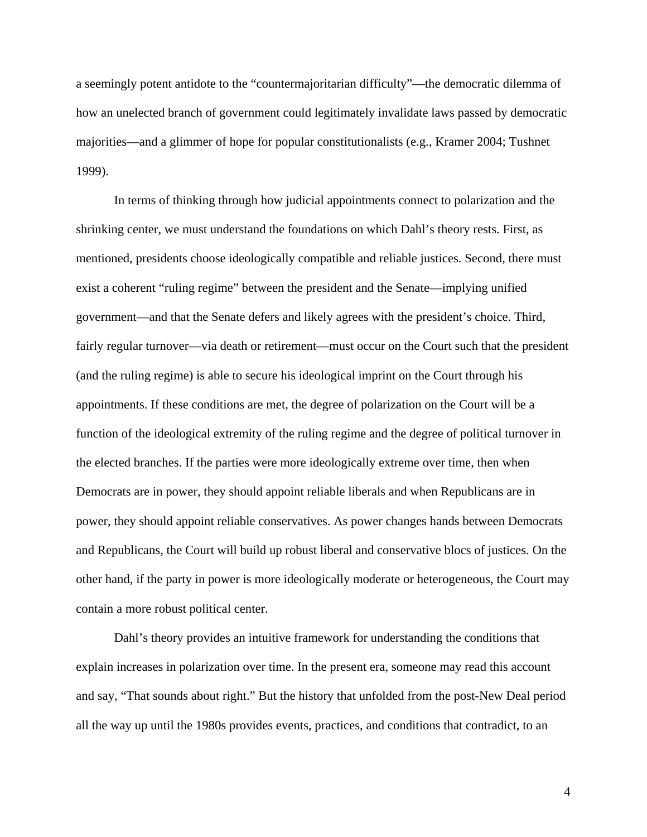a seemingly potent antidote to the "countermajoritarian difficulty"—the democratic dilemma of how an unelected branch of government could legitimately invalidate laws passed by democratic majorities—and a glimmer of hope for popular constitutionalists (e.g., Kramer 2004; Tushnet 1999).

In terms of thinking through how judicial appointments connect to polarization and the shrinking center, we must understand the foundations on which Dahl's theory rests. First, as mentioned, presidents choose ideologically compatible and reliable justices. Second, there must exist a coherent "ruling regime" between the president and the Senate—implying unified government—and that the Senate defers and likely agrees with the president's choice. Third, fairly regular turnover—via death or retirement—must occur on the Court such that the president (and the ruling regime) is able to secure his ideological imprint on the Court through his appointments. If these conditions are met, the degree of polarization on the Court will be a function of the ideological extremity of the ruling regime and the degree of political turnover in the elected branches. If the parties were more ideologically extreme over time, then when Democrats are in power, they should appoint reliable liberals and when Republicans are in power, they should appoint reliable conservatives. As power changes hands between Democrats and Republicans, the Court will build up robust liberal and conservative blocs of justices. On the other hand, if the party in power is more ideologically moderate or heterogeneous, the Court may contain a more robust political center.

Dahl's theory provides an intuitive framework for understanding the conditions that explain increases in polarization over time. In the present era, someone may read this account and say, "That sounds about right." But the history that unfolded from the post-New Deal period all the way up until the 1980s provides events, practices, and conditions that contradict, to an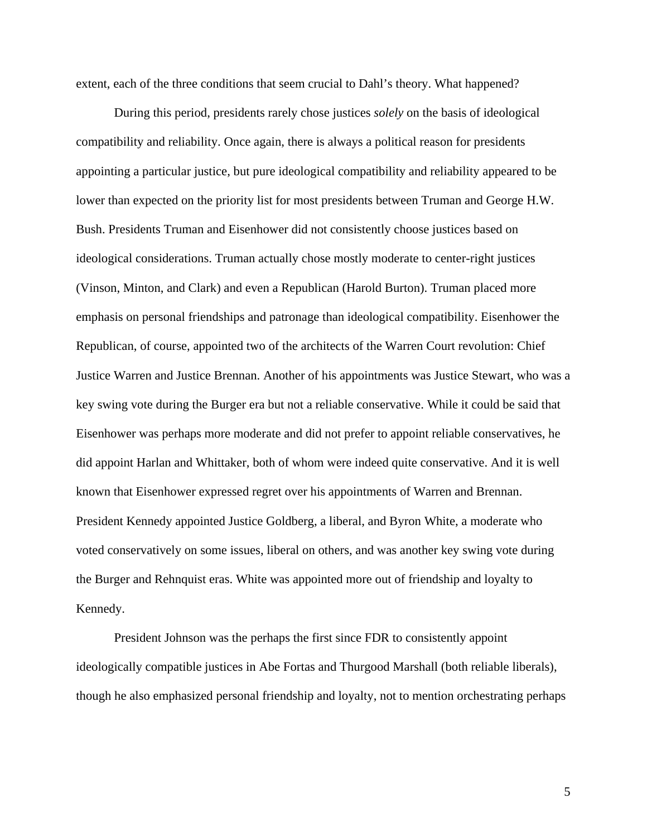extent, each of the three conditions that seem crucial to Dahl's theory. What happened?

During this period, presidents rarely chose justices *solely* on the basis of ideological compatibility and reliability. Once again, there is always a political reason for presidents appointing a particular justice, but pure ideological compatibility and reliability appeared to be lower than expected on the priority list for most presidents between Truman and George H.W. Bush. Presidents Truman and Eisenhower did not consistently choose justices based on ideological considerations. Truman actually chose mostly moderate to center-right justices (Vinson, Minton, and Clark) and even a Republican (Harold Burton). Truman placed more emphasis on personal friendships and patronage than ideological compatibility. Eisenhower the Republican, of course, appointed two of the architects of the Warren Court revolution: Chief Justice Warren and Justice Brennan. Another of his appointments was Justice Stewart, who was a key swing vote during the Burger era but not a reliable conservative. While it could be said that Eisenhower was perhaps more moderate and did not prefer to appoint reliable conservatives, he did appoint Harlan and Whittaker, both of whom were indeed quite conservative. And it is well known that Eisenhower expressed regret over his appointments of Warren and Brennan. President Kennedy appointed Justice Goldberg, a liberal, and Byron White, a moderate who voted conservatively on some issues, liberal on others, and was another key swing vote during the Burger and Rehnquist eras. White was appointed more out of friendship and loyalty to Kennedy.

President Johnson was the perhaps the first since FDR to consistently appoint ideologically compatible justices in Abe Fortas and Thurgood Marshall (both reliable liberals), though he also emphasized personal friendship and loyalty, not to mention orchestrating perhaps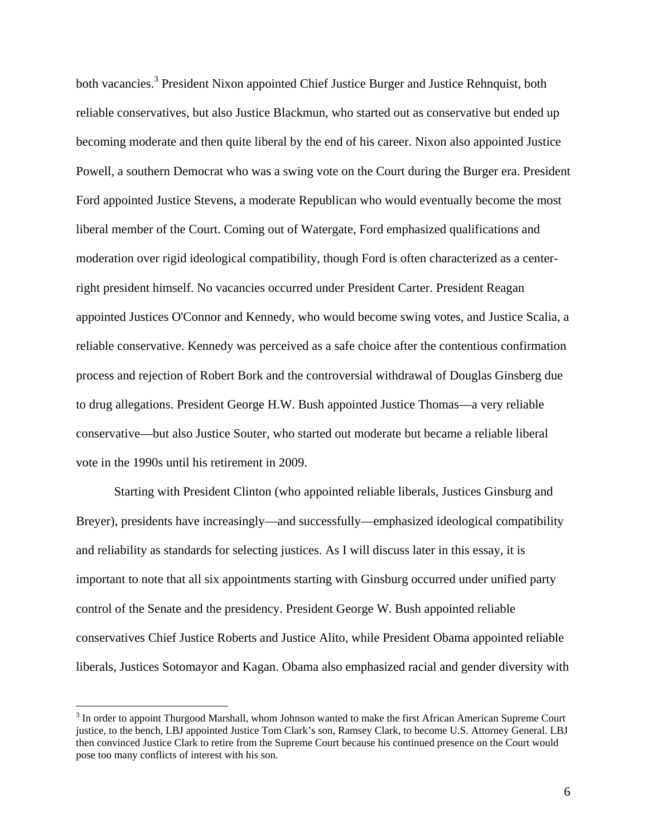both vacancies.<sup>3</sup> President Nixon appointed Chief Justice Burger and Justice Rehnquist, both reliable conservatives, but also Justice Blackmun, who started out as conservative but ended up becoming moderate and then quite liberal by the end of his career. Nixon also appointed Justice Powell, a southern Democrat who was a swing vote on the Court during the Burger era. President Ford appointed Justice Stevens, a moderate Republican who would eventually become the most liberal member of the Court. Coming out of Watergate, Ford emphasized qualifications and moderation over rigid ideological compatibility, though Ford is often characterized as a centerright president himself. No vacancies occurred under President Carter. President Reagan appointed Justices O'Connor and Kennedy, who would become swing votes, and Justice Scalia, a reliable conservative. Kennedy was perceived as a safe choice after the contentious confirmation process and rejection of Robert Bork and the controversial withdrawal of Douglas Ginsberg due to drug allegations. President George H.W. Bush appointed Justice Thomas—a very reliable conservative—but also Justice Souter, who started out moderate but became a reliable liberal vote in the 1990s until his retirement in 2009.

Starting with President Clinton (who appointed reliable liberals, Justices Ginsburg and Breyer), presidents have increasingly—and successfully—emphasized ideological compatibility and reliability as standards for selecting justices. As I will discuss later in this essay, it is important to note that all six appointments starting with Ginsburg occurred under unified party control of the Senate and the presidency. President George W. Bush appointed reliable conservatives Chief Justice Roberts and Justice Alito, while President Obama appointed reliable liberals, Justices Sotomayor and Kagan. Obama also emphasized racial and gender diversity with

 $\overline{a}$ 

 $3$  In order to appoint Thurgood Marshall, whom Johnson wanted to make the first African American Supreme Court justice, to the bench, LBJ appointed Justice Tom Clark's son, Ramsey Clark, to become U.S. Attorney General. LBJ then convinced Justice Clark to retire from the Supreme Court because his continued presence on the Court would pose too many conflicts of interest with his son.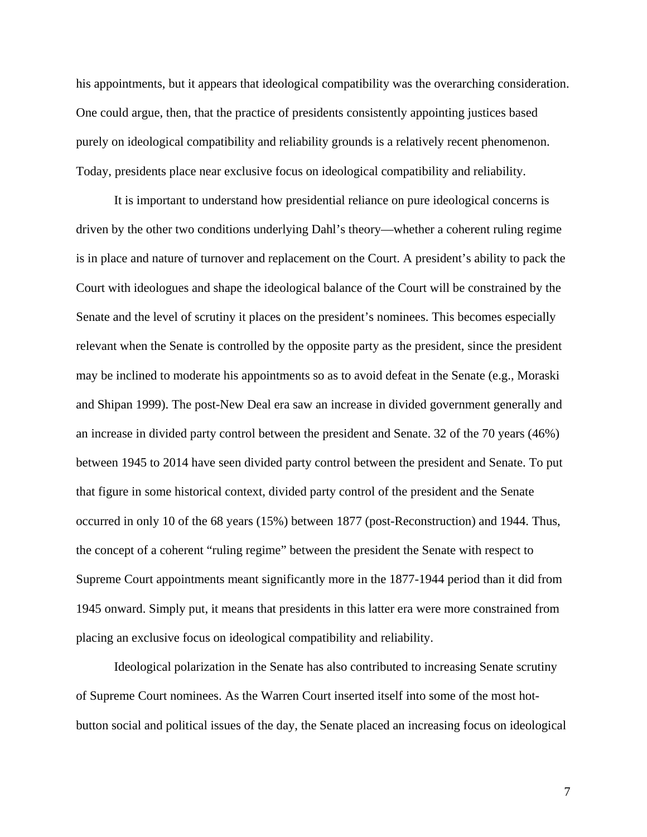his appointments, but it appears that ideological compatibility was the overarching consideration. One could argue, then, that the practice of presidents consistently appointing justices based purely on ideological compatibility and reliability grounds is a relatively recent phenomenon. Today, presidents place near exclusive focus on ideological compatibility and reliability.

It is important to understand how presidential reliance on pure ideological concerns is driven by the other two conditions underlying Dahl's theory—whether a coherent ruling regime is in place and nature of turnover and replacement on the Court. A president's ability to pack the Court with ideologues and shape the ideological balance of the Court will be constrained by the Senate and the level of scrutiny it places on the president's nominees. This becomes especially relevant when the Senate is controlled by the opposite party as the president, since the president may be inclined to moderate his appointments so as to avoid defeat in the Senate (e.g., Moraski and Shipan 1999). The post-New Deal era saw an increase in divided government generally and an increase in divided party control between the president and Senate. 32 of the 70 years (46%) between 1945 to 2014 have seen divided party control between the president and Senate. To put that figure in some historical context, divided party control of the president and the Senate occurred in only 10 of the 68 years (15%) between 1877 (post-Reconstruction) and 1944. Thus, the concept of a coherent "ruling regime" between the president the Senate with respect to Supreme Court appointments meant significantly more in the 1877-1944 period than it did from 1945 onward. Simply put, it means that presidents in this latter era were more constrained from placing an exclusive focus on ideological compatibility and reliability.

Ideological polarization in the Senate has also contributed to increasing Senate scrutiny of Supreme Court nominees. As the Warren Court inserted itself into some of the most hotbutton social and political issues of the day, the Senate placed an increasing focus on ideological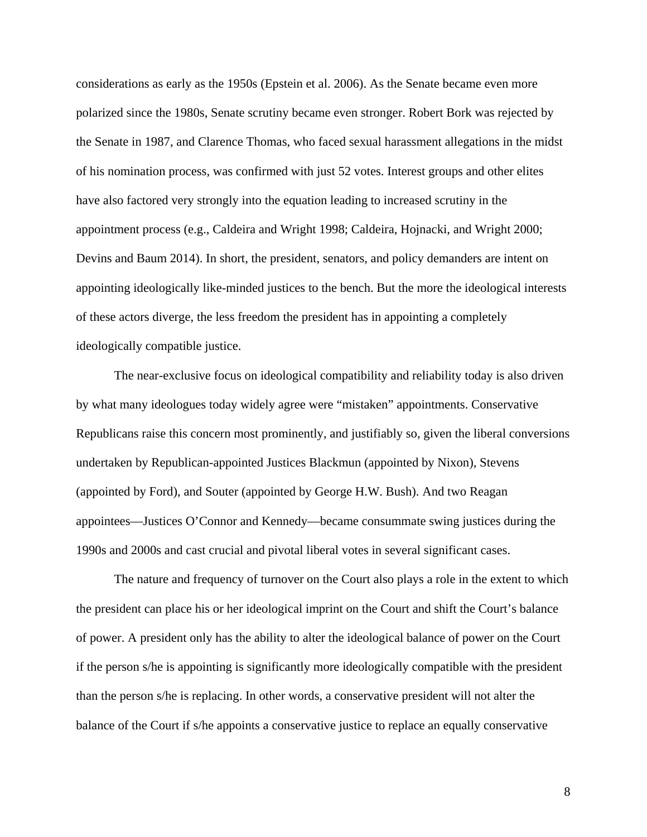considerations as early as the 1950s (Epstein et al. 2006). As the Senate became even more polarized since the 1980s, Senate scrutiny became even stronger. Robert Bork was rejected by the Senate in 1987, and Clarence Thomas, who faced sexual harassment allegations in the midst of his nomination process, was confirmed with just 52 votes. Interest groups and other elites have also factored very strongly into the equation leading to increased scrutiny in the appointment process (e.g., Caldeira and Wright 1998; Caldeira, Hojnacki, and Wright 2000; Devins and Baum 2014). In short, the president, senators, and policy demanders are intent on appointing ideologically like-minded justices to the bench. But the more the ideological interests of these actors diverge, the less freedom the president has in appointing a completely ideologically compatible justice.

The near-exclusive focus on ideological compatibility and reliability today is also driven by what many ideologues today widely agree were "mistaken" appointments. Conservative Republicans raise this concern most prominently, and justifiably so, given the liberal conversions undertaken by Republican-appointed Justices Blackmun (appointed by Nixon), Stevens (appointed by Ford), and Souter (appointed by George H.W. Bush). And two Reagan appointees—Justices O'Connor and Kennedy—became consummate swing justices during the 1990s and 2000s and cast crucial and pivotal liberal votes in several significant cases.

The nature and frequency of turnover on the Court also plays a role in the extent to which the president can place his or her ideological imprint on the Court and shift the Court's balance of power. A president only has the ability to alter the ideological balance of power on the Court if the person s/he is appointing is significantly more ideologically compatible with the president than the person s/he is replacing. In other words, a conservative president will not alter the balance of the Court if s/he appoints a conservative justice to replace an equally conservative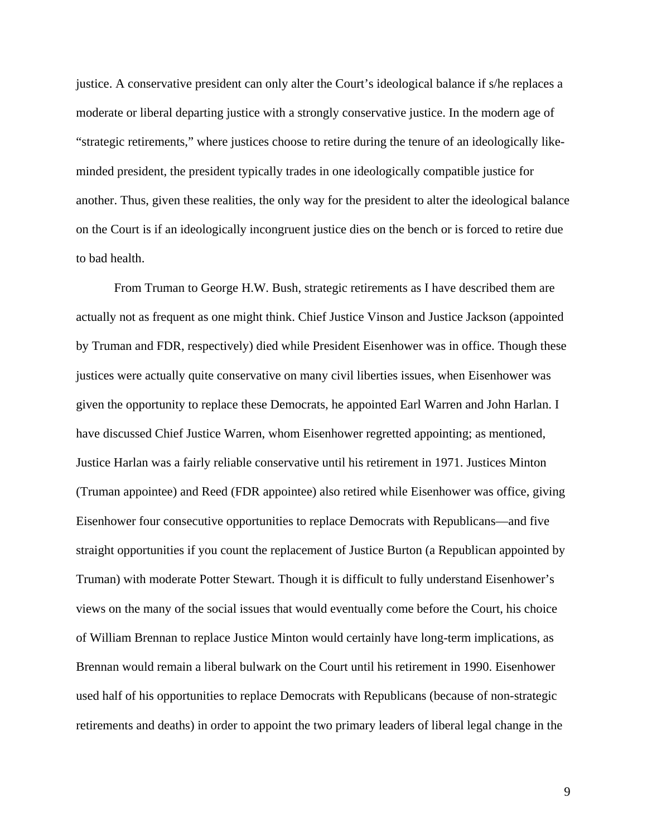justice. A conservative president can only alter the Court's ideological balance if s/he replaces a moderate or liberal departing justice with a strongly conservative justice. In the modern age of "strategic retirements," where justices choose to retire during the tenure of an ideologically likeminded president, the president typically trades in one ideologically compatible justice for another. Thus, given these realities, the only way for the president to alter the ideological balance on the Court is if an ideologically incongruent justice dies on the bench or is forced to retire due to bad health.

From Truman to George H.W. Bush, strategic retirements as I have described them are actually not as frequent as one might think. Chief Justice Vinson and Justice Jackson (appointed by Truman and FDR, respectively) died while President Eisenhower was in office. Though these justices were actually quite conservative on many civil liberties issues, when Eisenhower was given the opportunity to replace these Democrats, he appointed Earl Warren and John Harlan. I have discussed Chief Justice Warren, whom Eisenhower regretted appointing; as mentioned, Justice Harlan was a fairly reliable conservative until his retirement in 1971. Justices Minton (Truman appointee) and Reed (FDR appointee) also retired while Eisenhower was office, giving Eisenhower four consecutive opportunities to replace Democrats with Republicans—and five straight opportunities if you count the replacement of Justice Burton (a Republican appointed by Truman) with moderate Potter Stewart. Though it is difficult to fully understand Eisenhower's views on the many of the social issues that would eventually come before the Court, his choice of William Brennan to replace Justice Minton would certainly have long-term implications, as Brennan would remain a liberal bulwark on the Court until his retirement in 1990. Eisenhower used half of his opportunities to replace Democrats with Republicans (because of non-strategic retirements and deaths) in order to appoint the two primary leaders of liberal legal change in the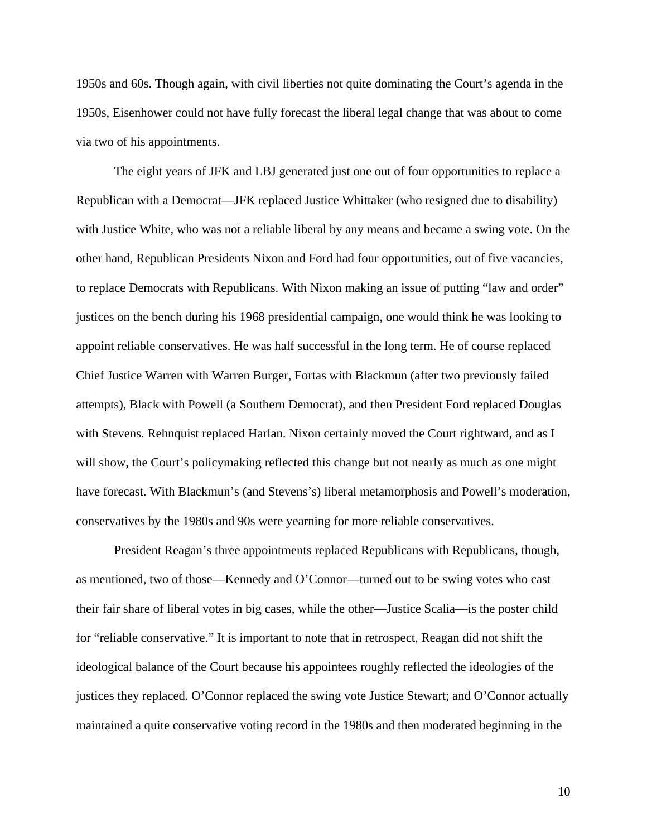1950s and 60s. Though again, with civil liberties not quite dominating the Court's agenda in the 1950s, Eisenhower could not have fully forecast the liberal legal change that was about to come via two of his appointments.

 The eight years of JFK and LBJ generated just one out of four opportunities to replace a Republican with a Democrat—JFK replaced Justice Whittaker (who resigned due to disability) with Justice White, who was not a reliable liberal by any means and became a swing vote. On the other hand, Republican Presidents Nixon and Ford had four opportunities, out of five vacancies, to replace Democrats with Republicans. With Nixon making an issue of putting "law and order" justices on the bench during his 1968 presidential campaign, one would think he was looking to appoint reliable conservatives. He was half successful in the long term. He of course replaced Chief Justice Warren with Warren Burger, Fortas with Blackmun (after two previously failed attempts), Black with Powell (a Southern Democrat), and then President Ford replaced Douglas with Stevens. Rehnquist replaced Harlan. Nixon certainly moved the Court rightward, and as I will show, the Court's policymaking reflected this change but not nearly as much as one might have forecast. With Blackmun's (and Stevens's) liberal metamorphosis and Powell's moderation, conservatives by the 1980s and 90s were yearning for more reliable conservatives.

 President Reagan's three appointments replaced Republicans with Republicans, though, as mentioned, two of those—Kennedy and O'Connor—turned out to be swing votes who cast their fair share of liberal votes in big cases, while the other—Justice Scalia—is the poster child for "reliable conservative." It is important to note that in retrospect, Reagan did not shift the ideological balance of the Court because his appointees roughly reflected the ideologies of the justices they replaced. O'Connor replaced the swing vote Justice Stewart; and O'Connor actually maintained a quite conservative voting record in the 1980s and then moderated beginning in the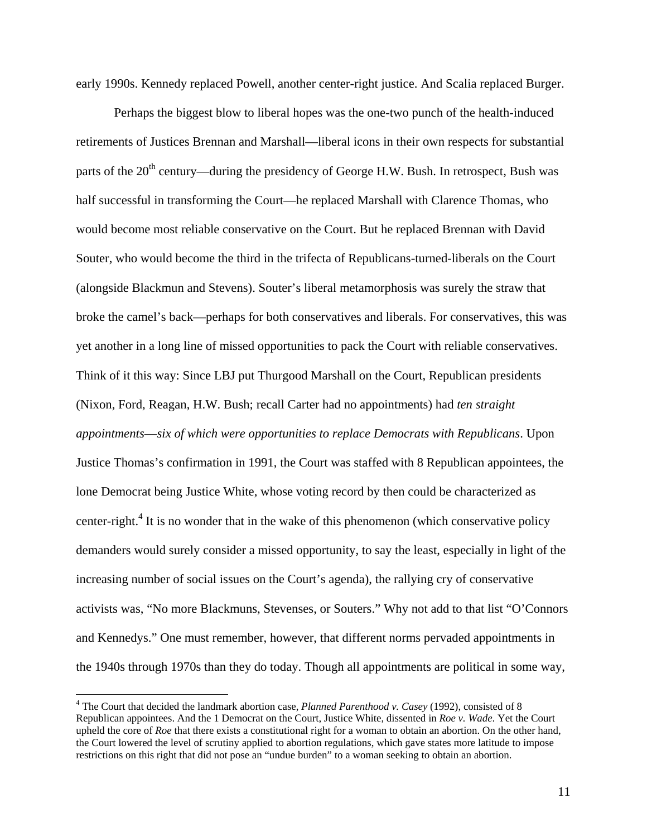early 1990s. Kennedy replaced Powell, another center-right justice. And Scalia replaced Burger.

 Perhaps the biggest blow to liberal hopes was the one-two punch of the health-induced retirements of Justices Brennan and Marshall—liberal icons in their own respects for substantial parts of the 20<sup>th</sup> century—during the presidency of George H.W. Bush. In retrospect, Bush was half successful in transforming the Court—he replaced Marshall with Clarence Thomas, who would become most reliable conservative on the Court. But he replaced Brennan with David Souter, who would become the third in the trifecta of Republicans-turned-liberals on the Court (alongside Blackmun and Stevens). Souter's liberal metamorphosis was surely the straw that broke the camel's back—perhaps for both conservatives and liberals. For conservatives, this was yet another in a long line of missed opportunities to pack the Court with reliable conservatives. Think of it this way: Since LBJ put Thurgood Marshall on the Court, Republican presidents (Nixon, Ford, Reagan, H.W. Bush; recall Carter had no appointments) had *ten straight appointments*—*six of which were opportunities to replace Democrats with Republicans*. Upon Justice Thomas's confirmation in 1991, the Court was staffed with 8 Republican appointees, the lone Democrat being Justice White, whose voting record by then could be characterized as center-right.<sup>4</sup> It is no wonder that in the wake of this phenomenon (which conservative policy demanders would surely consider a missed opportunity, to say the least, especially in light of the increasing number of social issues on the Court's agenda), the rallying cry of conservative activists was, "No more Blackmuns, Stevenses, or Souters." Why not add to that list "O'Connors and Kennedys." One must remember, however, that different norms pervaded appointments in the 1940s through 1970s than they do today. Though all appointments are political in some way,

 $\overline{a}$ 

<sup>&</sup>lt;sup>4</sup> The Court that decided the landmark abortion case, *Planned Parenthood v. Casey* (1992), consisted of 8 Republican appointees. And the 1 Democrat on the Court, Justice White, dissented in *Roe v. Wade*. Yet the Court upheld the core of *Roe* that there exists a constitutional right for a woman to obtain an abortion. On the other hand, the Court lowered the level of scrutiny applied to abortion regulations, which gave states more latitude to impose restrictions on this right that did not pose an "undue burden" to a woman seeking to obtain an abortion.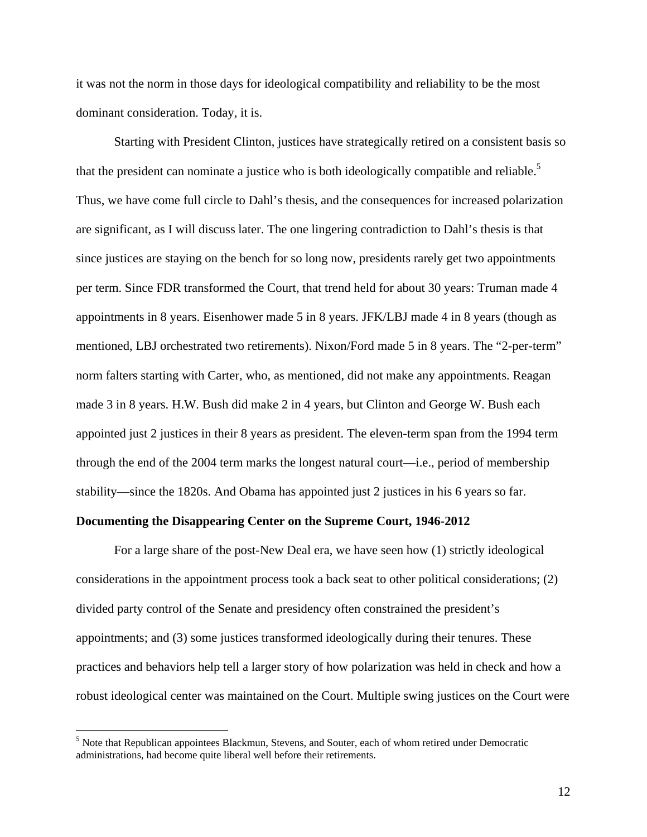it was not the norm in those days for ideological compatibility and reliability to be the most dominant consideration. Today, it is.

 Starting with President Clinton, justices have strategically retired on a consistent basis so that the president can nominate a justice who is both ideologically compatible and reliable.<sup>5</sup> Thus, we have come full circle to Dahl's thesis, and the consequences for increased polarization are significant, as I will discuss later. The one lingering contradiction to Dahl's thesis is that since justices are staying on the bench for so long now, presidents rarely get two appointments per term. Since FDR transformed the Court, that trend held for about 30 years: Truman made 4 appointments in 8 years. Eisenhower made 5 in 8 years. JFK/LBJ made 4 in 8 years (though as mentioned, LBJ orchestrated two retirements). Nixon/Ford made 5 in 8 years. The "2-per-term" norm falters starting with Carter, who, as mentioned, did not make any appointments. Reagan made 3 in 8 years. H.W. Bush did make 2 in 4 years, but Clinton and George W. Bush each appointed just 2 justices in their 8 years as president. The eleven-term span from the 1994 term through the end of the 2004 term marks the longest natural court—i.e., period of membership stability—since the 1820s. And Obama has appointed just 2 justices in his 6 years so far.

## **Documenting the Disappearing Center on the Supreme Court, 1946-2012**

 For a large share of the post-New Deal era, we have seen how (1) strictly ideological considerations in the appointment process took a back seat to other political considerations; (2) divided party control of the Senate and presidency often constrained the president's appointments; and (3) some justices transformed ideologically during their tenures. These practices and behaviors help tell a larger story of how polarization was held in check and how a robust ideological center was maintained on the Court. Multiple swing justices on the Court were

 $\overline{a}$ 

<sup>&</sup>lt;sup>5</sup> Note that Republican appointees Blackmun, Stevens, and Souter, each of whom retired under Democratic administrations, had become quite liberal well before their retirements.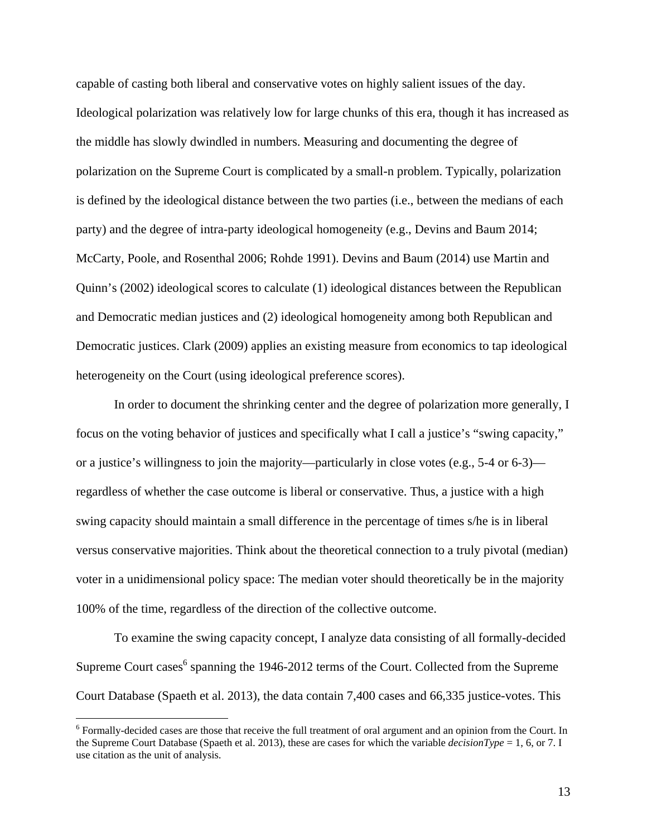capable of casting both liberal and conservative votes on highly salient issues of the day. Ideological polarization was relatively low for large chunks of this era, though it has increased as the middle has slowly dwindled in numbers. Measuring and documenting the degree of polarization on the Supreme Court is complicated by a small-n problem. Typically, polarization is defined by the ideological distance between the two parties (i.e., between the medians of each party) and the degree of intra-party ideological homogeneity (e.g., Devins and Baum 2014; McCarty, Poole, and Rosenthal 2006; Rohde 1991). Devins and Baum (2014) use Martin and Quinn's (2002) ideological scores to calculate (1) ideological distances between the Republican and Democratic median justices and (2) ideological homogeneity among both Republican and Democratic justices. Clark (2009) applies an existing measure from economics to tap ideological heterogeneity on the Court (using ideological preference scores).

 In order to document the shrinking center and the degree of polarization more generally, I focus on the voting behavior of justices and specifically what I call a justice's "swing capacity," or a justice's willingness to join the majority—particularly in close votes (e.g., 5-4 or 6-3) regardless of whether the case outcome is liberal or conservative. Thus, a justice with a high swing capacity should maintain a small difference in the percentage of times s/he is in liberal versus conservative majorities. Think about the theoretical connection to a truly pivotal (median) voter in a unidimensional policy space: The median voter should theoretically be in the majority 100% of the time, regardless of the direction of the collective outcome.

 To examine the swing capacity concept, I analyze data consisting of all formally-decided Supreme Court cases<sup>6</sup> spanning the 1946-2012 terms of the Court. Collected from the Supreme Court Database (Spaeth et al. 2013), the data contain 7,400 cases and 66,335 justice-votes. This

 $6$  Formally-decided cases are those that receive the full treatment of oral argument and an opinion from the Court. In the Supreme Court Database (Spaeth et al. 2013), these are cases for which the variable *decisionType* = 1, 6, or 7. I use citation as the unit of analysis.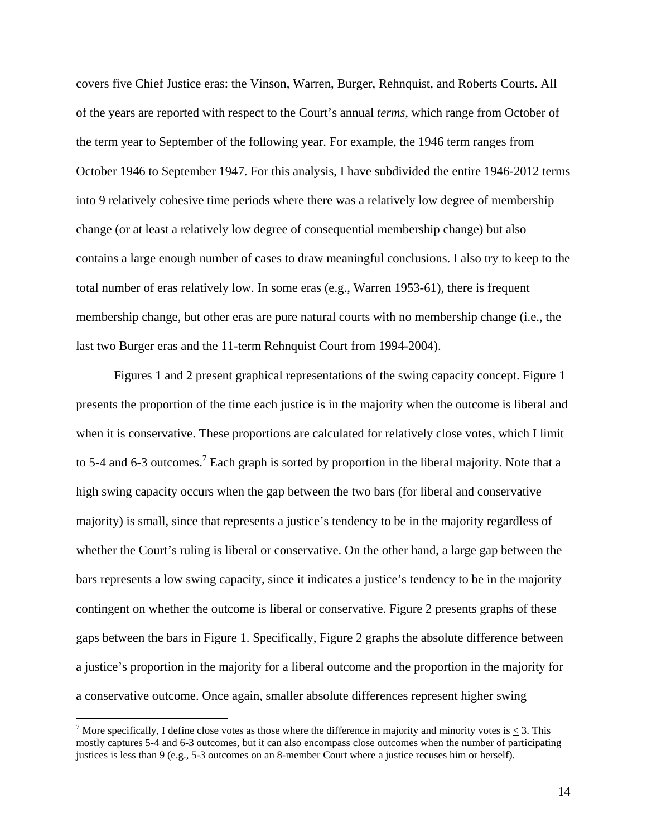covers five Chief Justice eras: the Vinson, Warren, Burger, Rehnquist, and Roberts Courts. All of the years are reported with respect to the Court's annual *terms*, which range from October of the term year to September of the following year. For example, the 1946 term ranges from October 1946 to September 1947. For this analysis, I have subdivided the entire 1946-2012 terms into 9 relatively cohesive time periods where there was a relatively low degree of membership change (or at least a relatively low degree of consequential membership change) but also contains a large enough number of cases to draw meaningful conclusions. I also try to keep to the total number of eras relatively low. In some eras (e.g., Warren 1953-61), there is frequent membership change, but other eras are pure natural courts with no membership change (i.e., the last two Burger eras and the 11-term Rehnquist Court from 1994-2004).

 Figures 1 and 2 present graphical representations of the swing capacity concept. Figure 1 presents the proportion of the time each justice is in the majority when the outcome is liberal and when it is conservative. These proportions are calculated for relatively close votes, which I limit to 5-4 and 6-3 outcomes.<sup>7</sup> Each graph is sorted by proportion in the liberal majority. Note that a high swing capacity occurs when the gap between the two bars (for liberal and conservative majority) is small, since that represents a justice's tendency to be in the majority regardless of whether the Court's ruling is liberal or conservative. On the other hand, a large gap between the bars represents a low swing capacity, since it indicates a justice's tendency to be in the majority contingent on whether the outcome is liberal or conservative. Figure 2 presents graphs of these gaps between the bars in Figure 1. Specifically, Figure 2 graphs the absolute difference between a justice's proportion in the majority for a liberal outcome and the proportion in the majority for a conservative outcome. Once again, smaller absolute differences represent higher swing

<sup>&</sup>lt;sup>7</sup> More specifically, I define close votes as those where the difference in majority and minority votes is  $\leq$  3. This mostly captures 5-4 and 6-3 outcomes, but it can also encompass close outcomes when the number of participating justices is less than 9 (e.g., 5-3 outcomes on an 8-member Court where a justice recuses him or herself).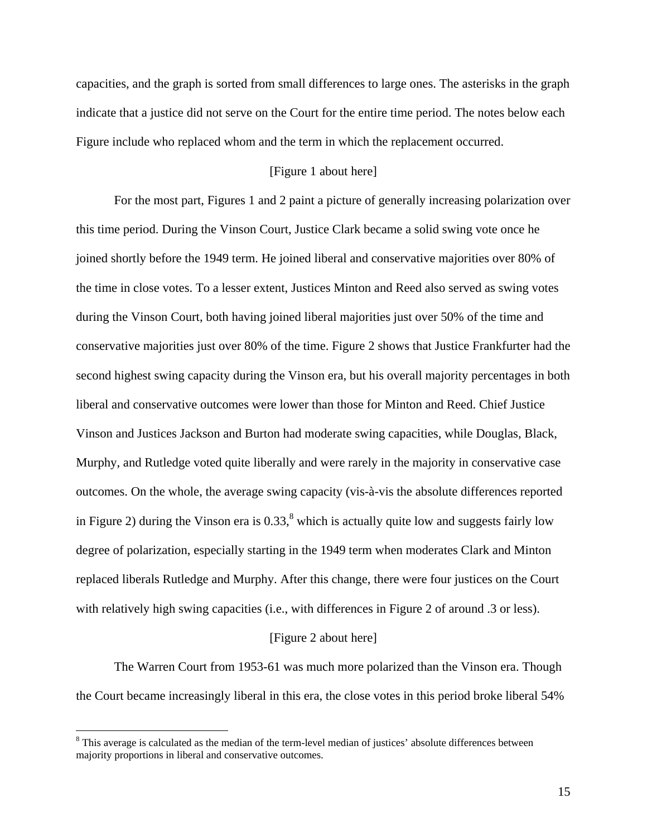capacities, and the graph is sorted from small differences to large ones. The asterisks in the graph indicate that a justice did not serve on the Court for the entire time period. The notes below each Figure include who replaced whom and the term in which the replacement occurred.

## [Figure 1 about here]

 For the most part, Figures 1 and 2 paint a picture of generally increasing polarization over this time period. During the Vinson Court, Justice Clark became a solid swing vote once he joined shortly before the 1949 term. He joined liberal and conservative majorities over 80% of the time in close votes. To a lesser extent, Justices Minton and Reed also served as swing votes during the Vinson Court, both having joined liberal majorities just over 50% of the time and conservative majorities just over 80% of the time. Figure 2 shows that Justice Frankfurter had the second highest swing capacity during the Vinson era, but his overall majority percentages in both liberal and conservative outcomes were lower than those for Minton and Reed. Chief Justice Vinson and Justices Jackson and Burton had moderate swing capacities, while Douglas, Black, Murphy, and Rutledge voted quite liberally and were rarely in the majority in conservative case outcomes. On the whole, the average swing capacity (vis-à-vis the absolute differences reported in Figure 2) during the Vinson era is  $0.33$ ,<sup>8</sup> which is actually quite low and suggests fairly low degree of polarization, especially starting in the 1949 term when moderates Clark and Minton replaced liberals Rutledge and Murphy. After this change, there were four justices on the Court with relatively high swing capacities (i.e., with differences in Figure 2 of around .3 or less).

#### [Figure 2 about here]

 The Warren Court from 1953-61 was much more polarized than the Vinson era. Though the Court became increasingly liberal in this era, the close votes in this period broke liberal 54%

 $\overline{a}$ 

 $8$  This average is calculated as the median of the term-level median of justices' absolute differences between majority proportions in liberal and conservative outcomes.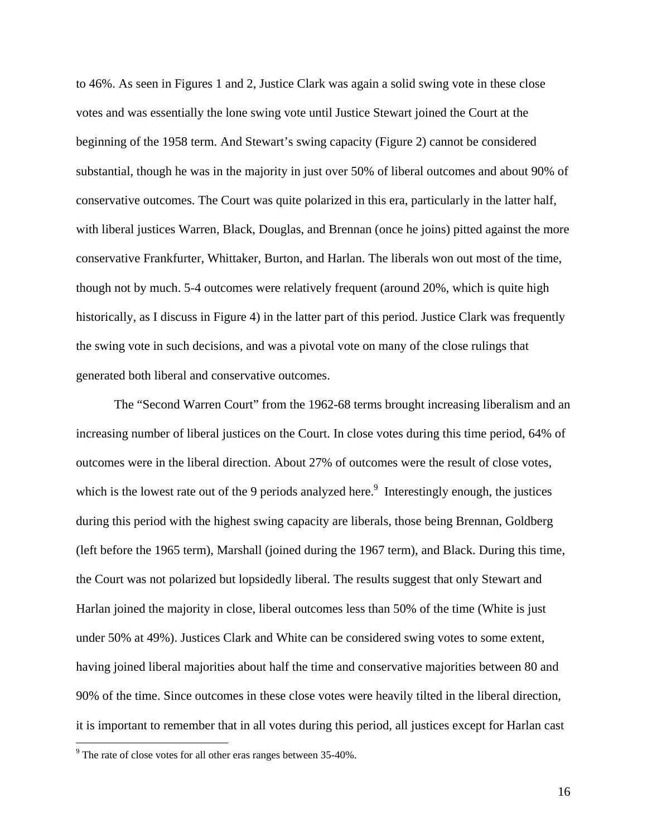to 46%. As seen in Figures 1 and 2, Justice Clark was again a solid swing vote in these close votes and was essentially the lone swing vote until Justice Stewart joined the Court at the beginning of the 1958 term. And Stewart's swing capacity (Figure 2) cannot be considered substantial, though he was in the majority in just over 50% of liberal outcomes and about 90% of conservative outcomes. The Court was quite polarized in this era, particularly in the latter half, with liberal justices Warren, Black, Douglas, and Brennan (once he joins) pitted against the more conservative Frankfurter, Whittaker, Burton, and Harlan. The liberals won out most of the time, though not by much. 5-4 outcomes were relatively frequent (around 20%, which is quite high historically, as I discuss in Figure 4) in the latter part of this period. Justice Clark was frequently the swing vote in such decisions, and was a pivotal vote on many of the close rulings that generated both liberal and conservative outcomes.

 The "Second Warren Court" from the 1962-68 terms brought increasing liberalism and an increasing number of liberal justices on the Court. In close votes during this time period, 64% of outcomes were in the liberal direction. About 27% of outcomes were the result of close votes, which is the lowest rate out of the 9 periods analyzed here.<sup>9</sup> Interestingly enough, the justices during this period with the highest swing capacity are liberals, those being Brennan, Goldberg (left before the 1965 term), Marshall (joined during the 1967 term), and Black. During this time, the Court was not polarized but lopsidedly liberal. The results suggest that only Stewart and Harlan joined the majority in close, liberal outcomes less than 50% of the time (White is just under 50% at 49%). Justices Clark and White can be considered swing votes to some extent, having joined liberal majorities about half the time and conservative majorities between 80 and 90% of the time. Since outcomes in these close votes were heavily tilted in the liberal direction, it is important to remember that in all votes during this period, all justices except for Harlan cast

 $\overline{a}$ 

 $9^9$  The rate of close votes for all other eras ranges between 35-40%.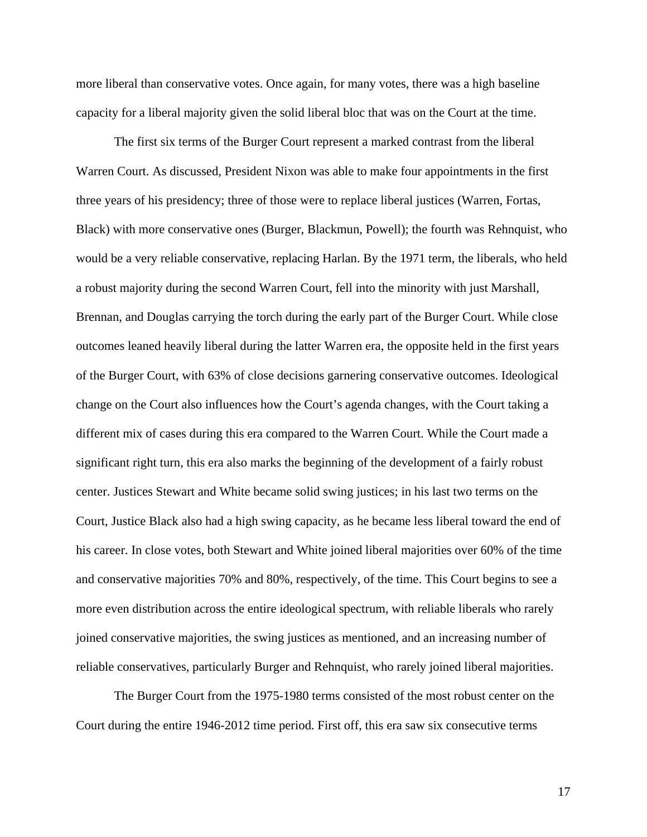more liberal than conservative votes. Once again, for many votes, there was a high baseline capacity for a liberal majority given the solid liberal bloc that was on the Court at the time.

 The first six terms of the Burger Court represent a marked contrast from the liberal Warren Court. As discussed, President Nixon was able to make four appointments in the first three years of his presidency; three of those were to replace liberal justices (Warren, Fortas, Black) with more conservative ones (Burger, Blackmun, Powell); the fourth was Rehnquist, who would be a very reliable conservative, replacing Harlan. By the 1971 term, the liberals, who held a robust majority during the second Warren Court, fell into the minority with just Marshall, Brennan, and Douglas carrying the torch during the early part of the Burger Court. While close outcomes leaned heavily liberal during the latter Warren era, the opposite held in the first years of the Burger Court, with 63% of close decisions garnering conservative outcomes. Ideological change on the Court also influences how the Court's agenda changes, with the Court taking a different mix of cases during this era compared to the Warren Court. While the Court made a significant right turn, this era also marks the beginning of the development of a fairly robust center. Justices Stewart and White became solid swing justices; in his last two terms on the Court, Justice Black also had a high swing capacity, as he became less liberal toward the end of his career. In close votes, both Stewart and White joined liberal majorities over 60% of the time and conservative majorities 70% and 80%, respectively, of the time. This Court begins to see a more even distribution across the entire ideological spectrum, with reliable liberals who rarely joined conservative majorities, the swing justices as mentioned, and an increasing number of reliable conservatives, particularly Burger and Rehnquist, who rarely joined liberal majorities.

 The Burger Court from the 1975-1980 terms consisted of the most robust center on the Court during the entire 1946-2012 time period. First off, this era saw six consecutive terms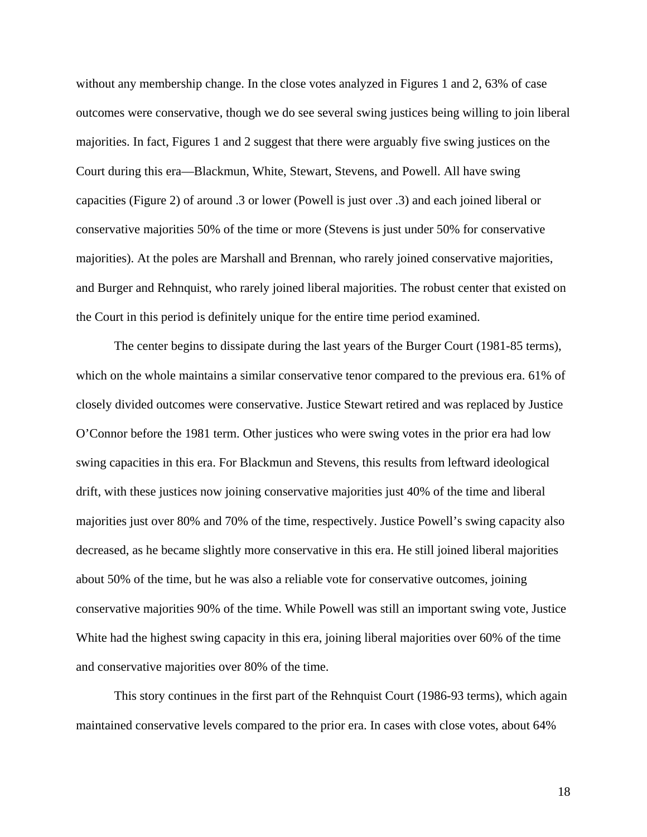without any membership change. In the close votes analyzed in Figures 1 and 2, 63% of case outcomes were conservative, though we do see several swing justices being willing to join liberal majorities. In fact, Figures 1 and 2 suggest that there were arguably five swing justices on the Court during this era—Blackmun, White, Stewart, Stevens, and Powell. All have swing capacities (Figure 2) of around .3 or lower (Powell is just over .3) and each joined liberal or conservative majorities 50% of the time or more (Stevens is just under 50% for conservative majorities). At the poles are Marshall and Brennan, who rarely joined conservative majorities, and Burger and Rehnquist, who rarely joined liberal majorities. The robust center that existed on the Court in this period is definitely unique for the entire time period examined.

 The center begins to dissipate during the last years of the Burger Court (1981-85 terms), which on the whole maintains a similar conservative tenor compared to the previous era. 61% of closely divided outcomes were conservative. Justice Stewart retired and was replaced by Justice O'Connor before the 1981 term. Other justices who were swing votes in the prior era had low swing capacities in this era. For Blackmun and Stevens, this results from leftward ideological drift, with these justices now joining conservative majorities just 40% of the time and liberal majorities just over 80% and 70% of the time, respectively. Justice Powell's swing capacity also decreased, as he became slightly more conservative in this era. He still joined liberal majorities about 50% of the time, but he was also a reliable vote for conservative outcomes, joining conservative majorities 90% of the time. While Powell was still an important swing vote, Justice White had the highest swing capacity in this era, joining liberal majorities over 60% of the time and conservative majorities over 80% of the time.

 This story continues in the first part of the Rehnquist Court (1986-93 terms), which again maintained conservative levels compared to the prior era. In cases with close votes, about 64%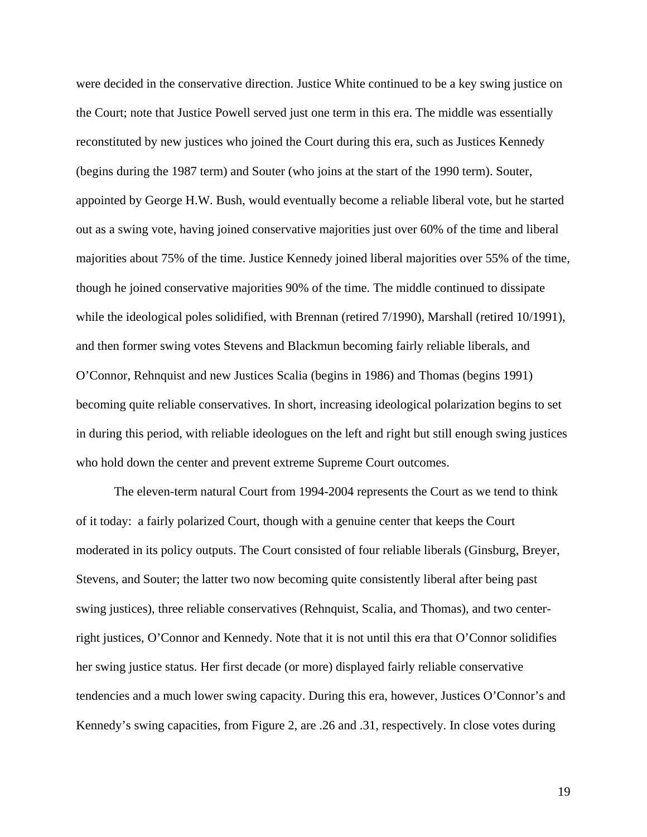were decided in the conservative direction. Justice White continued to be a key swing justice on the Court; note that Justice Powell served just one term in this era. The middle was essentially reconstituted by new justices who joined the Court during this era, such as Justices Kennedy (begins during the 1987 term) and Souter (who joins at the start of the 1990 term). Souter, appointed by George H.W. Bush, would eventually become a reliable liberal vote, but he started out as a swing vote, having joined conservative majorities just over 60% of the time and liberal majorities about 75% of the time. Justice Kennedy joined liberal majorities over 55% of the time, though he joined conservative majorities 90% of the time. The middle continued to dissipate while the ideological poles solidified, with Brennan (retired 7/1990), Marshall (retired 10/1991), and then former swing votes Stevens and Blackmun becoming fairly reliable liberals, and O'Connor, Rehnquist and new Justices Scalia (begins in 1986) and Thomas (begins 1991) becoming quite reliable conservatives. In short, increasing ideological polarization begins to set in during this period, with reliable ideologues on the left and right but still enough swing justices who hold down the center and prevent extreme Supreme Court outcomes.

 The eleven-term natural Court from 1994-2004 represents the Court as we tend to think of it today: a fairly polarized Court, though with a genuine center that keeps the Court moderated in its policy outputs. The Court consisted of four reliable liberals (Ginsburg, Breyer, Stevens, and Souter; the latter two now becoming quite consistently liberal after being past swing justices), three reliable conservatives (Rehnquist, Scalia, and Thomas), and two centerright justices, O'Connor and Kennedy. Note that it is not until this era that O'Connor solidifies her swing justice status. Her first decade (or more) displayed fairly reliable conservative tendencies and a much lower swing capacity. During this era, however, Justices O'Connor's and Kennedy's swing capacities, from Figure 2, are .26 and .31, respectively. In close votes during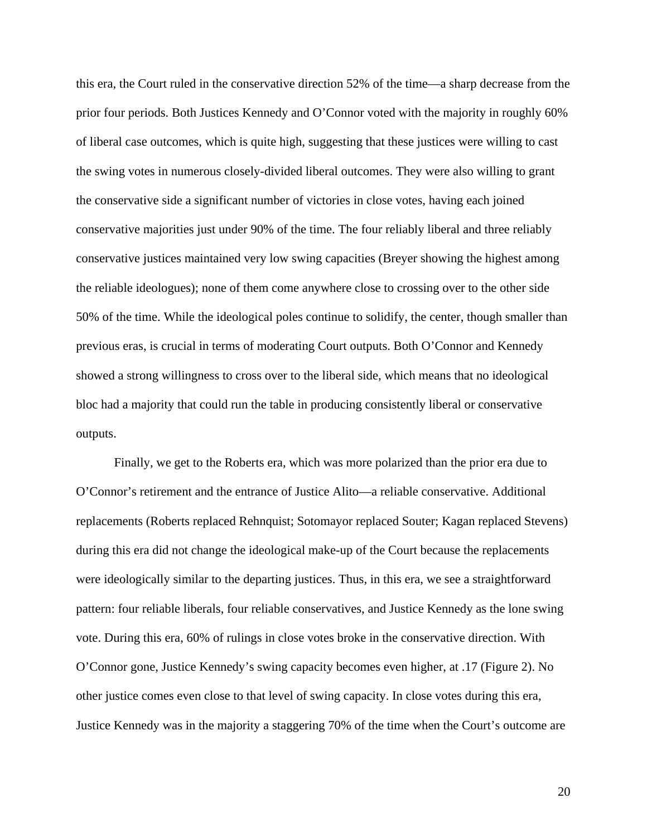this era, the Court ruled in the conservative direction 52% of the time—a sharp decrease from the prior four periods. Both Justices Kennedy and O'Connor voted with the majority in roughly 60% of liberal case outcomes, which is quite high, suggesting that these justices were willing to cast the swing votes in numerous closely-divided liberal outcomes. They were also willing to grant the conservative side a significant number of victories in close votes, having each joined conservative majorities just under 90% of the time. The four reliably liberal and three reliably conservative justices maintained very low swing capacities (Breyer showing the highest among the reliable ideologues); none of them come anywhere close to crossing over to the other side 50% of the time. While the ideological poles continue to solidify, the center, though smaller than previous eras, is crucial in terms of moderating Court outputs. Both O'Connor and Kennedy showed a strong willingness to cross over to the liberal side, which means that no ideological bloc had a majority that could run the table in producing consistently liberal or conservative outputs.

 Finally, we get to the Roberts era, which was more polarized than the prior era due to O'Connor's retirement and the entrance of Justice Alito—a reliable conservative. Additional replacements (Roberts replaced Rehnquist; Sotomayor replaced Souter; Kagan replaced Stevens) during this era did not change the ideological make-up of the Court because the replacements were ideologically similar to the departing justices. Thus, in this era, we see a straightforward pattern: four reliable liberals, four reliable conservatives, and Justice Kennedy as the lone swing vote. During this era, 60% of rulings in close votes broke in the conservative direction. With O'Connor gone, Justice Kennedy's swing capacity becomes even higher, at .17 (Figure 2). No other justice comes even close to that level of swing capacity. In close votes during this era, Justice Kennedy was in the majority a staggering 70% of the time when the Court's outcome are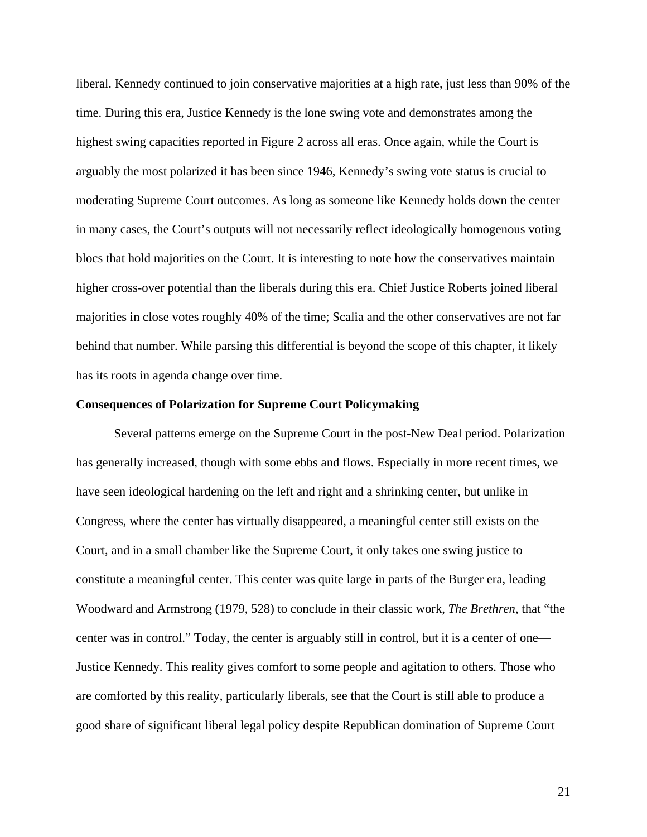liberal. Kennedy continued to join conservative majorities at a high rate, just less than 90% of the time. During this era, Justice Kennedy is the lone swing vote and demonstrates among the highest swing capacities reported in Figure 2 across all eras. Once again, while the Court is arguably the most polarized it has been since 1946, Kennedy's swing vote status is crucial to moderating Supreme Court outcomes. As long as someone like Kennedy holds down the center in many cases, the Court's outputs will not necessarily reflect ideologically homogenous voting blocs that hold majorities on the Court. It is interesting to note how the conservatives maintain higher cross-over potential than the liberals during this era. Chief Justice Roberts joined liberal majorities in close votes roughly 40% of the time; Scalia and the other conservatives are not far behind that number. While parsing this differential is beyond the scope of this chapter, it likely has its roots in agenda change over time.

#### **Consequences of Polarization for Supreme Court Policymaking**

 Several patterns emerge on the Supreme Court in the post-New Deal period. Polarization has generally increased, though with some ebbs and flows. Especially in more recent times, we have seen ideological hardening on the left and right and a shrinking center, but unlike in Congress, where the center has virtually disappeared, a meaningful center still exists on the Court, and in a small chamber like the Supreme Court, it only takes one swing justice to constitute a meaningful center. This center was quite large in parts of the Burger era, leading Woodward and Armstrong (1979, 528) to conclude in their classic work, *The Brethren*, that "the center was in control." Today, the center is arguably still in control, but it is a center of one— Justice Kennedy. This reality gives comfort to some people and agitation to others. Those who are comforted by this reality, particularly liberals, see that the Court is still able to produce a good share of significant liberal legal policy despite Republican domination of Supreme Court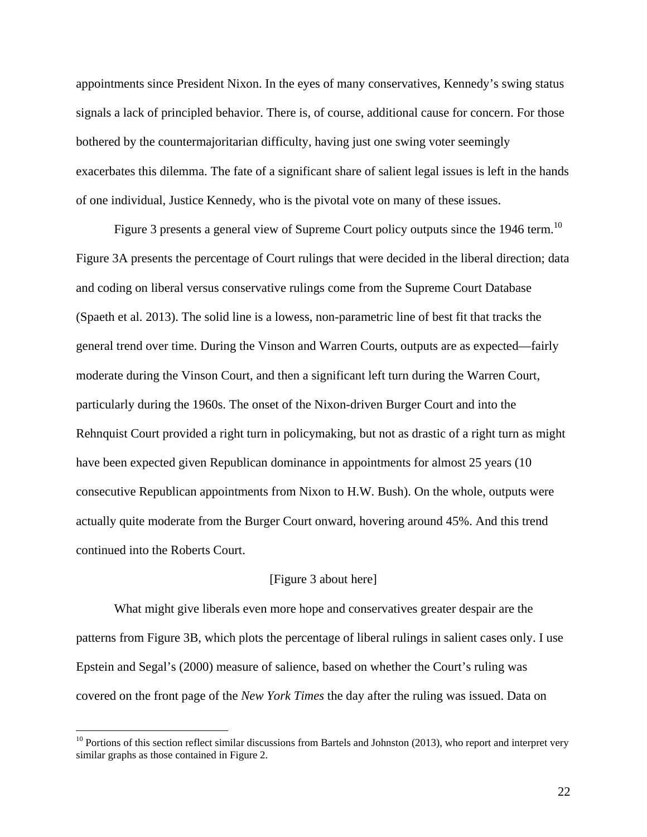appointments since President Nixon. In the eyes of many conservatives, Kennedy's swing status signals a lack of principled behavior. There is, of course, additional cause for concern. For those bothered by the countermajoritarian difficulty, having just one swing voter seemingly exacerbates this dilemma. The fate of a significant share of salient legal issues is left in the hands of one individual, Justice Kennedy, who is the pivotal vote on many of these issues.

Figure 3 presents a general view of Supreme Court policy outputs since the 1946 term.<sup>10</sup> Figure 3A presents the percentage of Court rulings that were decided in the liberal direction; data and coding on liberal versus conservative rulings come from the Supreme Court Database (Spaeth et al. 2013). The solid line is a lowess, non-parametric line of best fit that tracks the general trend over time. During the Vinson and Warren Courts, outputs are as expected—fairly moderate during the Vinson Court, and then a significant left turn during the Warren Court, particularly during the 1960s. The onset of the Nixon-driven Burger Court and into the Rehnquist Court provided a right turn in policymaking, but not as drastic of a right turn as might have been expected given Republican dominance in appointments for almost 25 years (10 consecutive Republican appointments from Nixon to H.W. Bush). On the whole, outputs were actually quite moderate from the Burger Court onward, hovering around 45%. And this trend continued into the Roberts Court.

#### [Figure 3 about here]

 What might give liberals even more hope and conservatives greater despair are the patterns from Figure 3B, which plots the percentage of liberal rulings in salient cases only. I use Epstein and Segal's (2000) measure of salience, based on whether the Court's ruling was covered on the front page of the *New York Times* the day after the ruling was issued. Data on

 $10$  Portions of this section reflect similar discussions from Bartels and Johnston (2013), who report and interpret very similar graphs as those contained in Figure 2.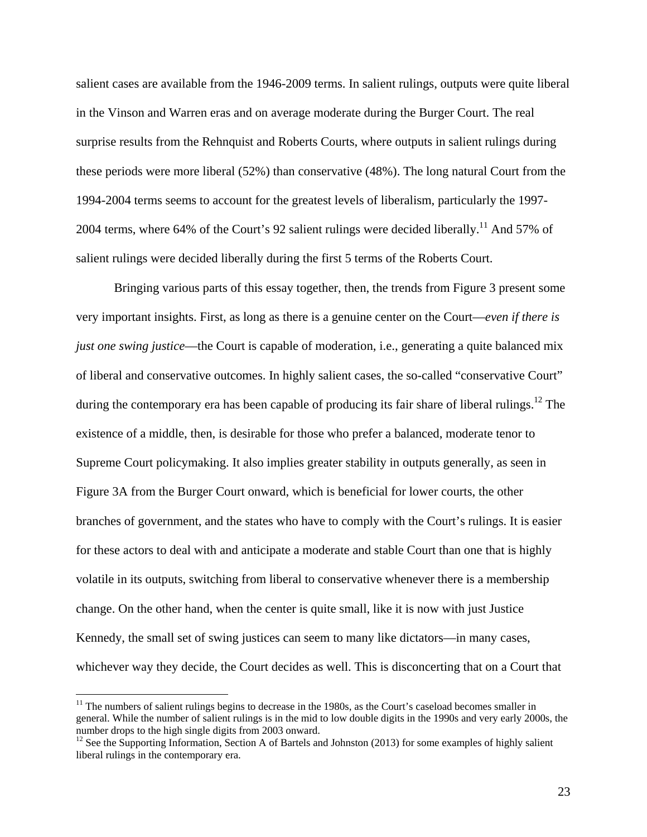salient cases are available from the 1946-2009 terms. In salient rulings, outputs were quite liberal in the Vinson and Warren eras and on average moderate during the Burger Court. The real surprise results from the Rehnquist and Roberts Courts, where outputs in salient rulings during these periods were more liberal (52%) than conservative (48%). The long natural Court from the 1994-2004 terms seems to account for the greatest levels of liberalism, particularly the 1997- 2004 terms, where 64% of the Court's 92 salient rulings were decided liberally.<sup>11</sup> And 57% of salient rulings were decided liberally during the first 5 terms of the Roberts Court.

 Bringing various parts of this essay together, then, the trends from Figure 3 present some very important insights. First, as long as there is a genuine center on the Court—*even if there is just one swing justice*—the Court is capable of moderation, *i.e.*, generating a quite balanced mix of liberal and conservative outcomes. In highly salient cases, the so-called "conservative Court" during the contemporary era has been capable of producing its fair share of liberal rulings.<sup>12</sup> The existence of a middle, then, is desirable for those who prefer a balanced, moderate tenor to Supreme Court policymaking. It also implies greater stability in outputs generally, as seen in Figure 3A from the Burger Court onward, which is beneficial for lower courts, the other branches of government, and the states who have to comply with the Court's rulings. It is easier for these actors to deal with and anticipate a moderate and stable Court than one that is highly volatile in its outputs, switching from liberal to conservative whenever there is a membership change. On the other hand, when the center is quite small, like it is now with just Justice Kennedy, the small set of swing justices can seem to many like dictators—in many cases, whichever way they decide, the Court decides as well. This is disconcerting that on a Court that

 $\overline{a}$ 

<sup>&</sup>lt;sup>11</sup> The numbers of salient rulings begins to decrease in the 1980s, as the Court's caseload becomes smaller in general. While the number of salient rulings is in the mid to low double digits in the 1990s and very early 2000s, the number drops to the high single digits from 2003 onward.

<sup>&</sup>lt;sup>12</sup> See the Supporting Information, Section A of Bartels and Johnston (2013) for some examples of highly salient liberal rulings in the contemporary era.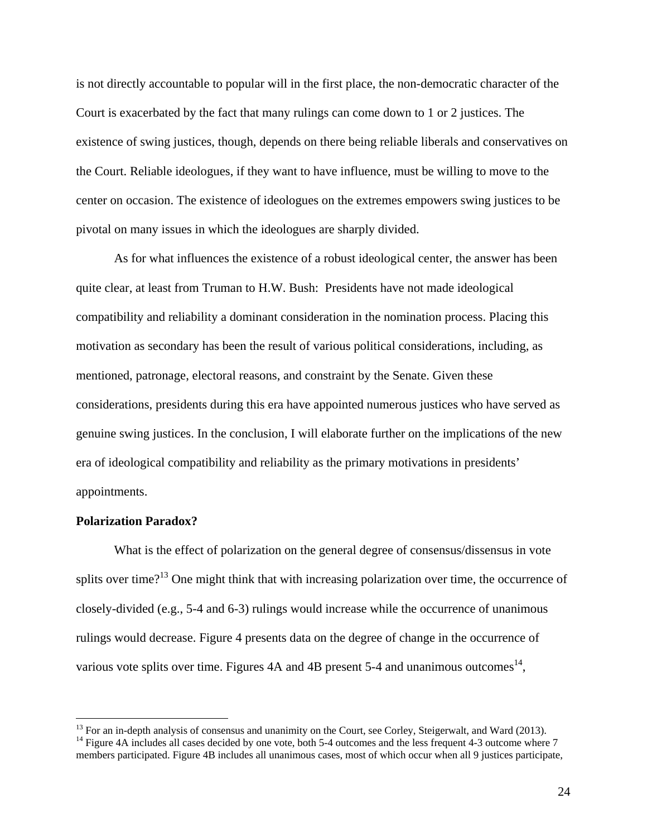is not directly accountable to popular will in the first place, the non-democratic character of the Court is exacerbated by the fact that many rulings can come down to 1 or 2 justices. The existence of swing justices, though, depends on there being reliable liberals and conservatives on the Court. Reliable ideologues, if they want to have influence, must be willing to move to the center on occasion. The existence of ideologues on the extremes empowers swing justices to be pivotal on many issues in which the ideologues are sharply divided.

 As for what influences the existence of a robust ideological center, the answer has been quite clear, at least from Truman to H.W. Bush: Presidents have not made ideological compatibility and reliability a dominant consideration in the nomination process. Placing this motivation as secondary has been the result of various political considerations, including, as mentioned, patronage, electoral reasons, and constraint by the Senate. Given these considerations, presidents during this era have appointed numerous justices who have served as genuine swing justices. In the conclusion, I will elaborate further on the implications of the new era of ideological compatibility and reliability as the primary motivations in presidents' appointments.

## **Polarization Paradox?**

 $\overline{a}$ 

 What is the effect of polarization on the general degree of consensus/dissensus in vote splits over time?<sup>13</sup> One might think that with increasing polarization over time, the occurrence of closely-divided (e.g., 5-4 and 6-3) rulings would increase while the occurrence of unanimous rulings would decrease. Figure 4 presents data on the degree of change in the occurrence of various vote splits over time. Figures  $4A$  and  $4B$  present  $5-4$  and unanimous outcomes<sup>14</sup>,

<sup>&</sup>lt;sup>13</sup> For an in-depth analysis of consensus and unanimity on the Court, see Corley, Steigerwalt, and Ward (2013). <sup>14</sup> Figure 4A includes all cases decided by one vote, both 5-4 outcomes and the less frequent 4-3 outcome w

members participated. Figure 4B includes all unanimous cases, most of which occur when all 9 justices participate,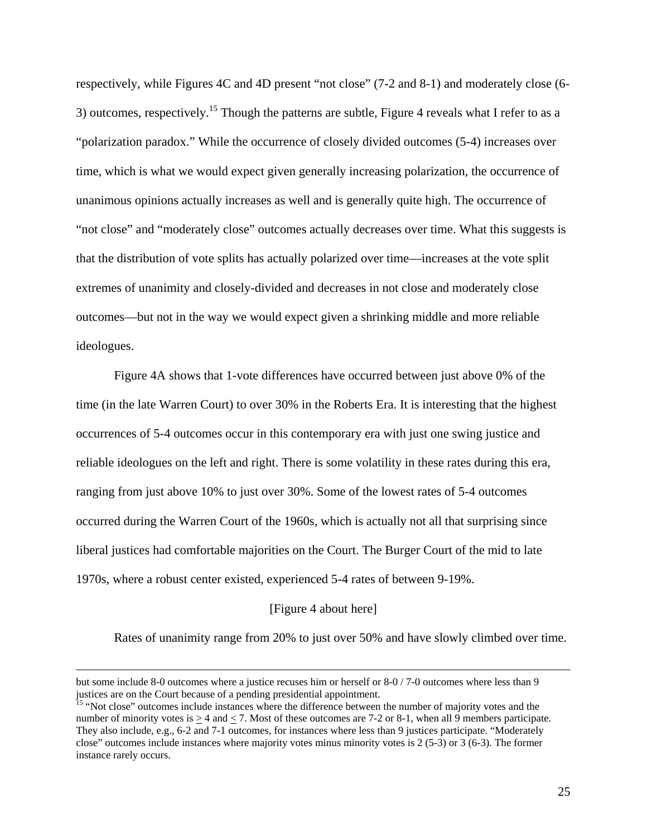respectively, while Figures 4C and 4D present "not close" (7-2 and 8-1) and moderately close (6- 3) outcomes, respectively.<sup>15</sup> Though the patterns are subtle, Figure 4 reveals what I refer to as a "polarization paradox." While the occurrence of closely divided outcomes (5-4) increases over time, which is what we would expect given generally increasing polarization, the occurrence of unanimous opinions actually increases as well and is generally quite high. The occurrence of "not close" and "moderately close" outcomes actually decreases over time. What this suggests is that the distribution of vote splits has actually polarized over time—increases at the vote split extremes of unanimity and closely-divided and decreases in not close and moderately close outcomes—but not in the way we would expect given a shrinking middle and more reliable ideologues.

Figure 4A shows that 1-vote differences have occurred between just above 0% of the time (in the late Warren Court) to over 30% in the Roberts Era. It is interesting that the highest occurrences of 5-4 outcomes occur in this contemporary era with just one swing justice and reliable ideologues on the left and right. There is some volatility in these rates during this era, ranging from just above 10% to just over 30%. Some of the lowest rates of 5-4 outcomes occurred during the Warren Court of the 1960s, which is actually not all that surprising since liberal justices had comfortable majorities on the Court. The Burger Court of the mid to late 1970s, where a robust center existed, experienced 5-4 rates of between 9-19%.

#### [Figure 4 about here]

Rates of unanimity range from 20% to just over 50% and have slowly climbed over time.

but some include 8-0 outcomes where a justice recuses him or herself or 8-0 / 7-0 outcomes where less than 9 justices are on the Court because of a pending presidential appointment. 15 "Not close" outcomes include instances where the difference between the number of majority votes and the

number of minority votes is  $> 4$  and  $< 7$ . Most of these outcomes are 7-2 or 8-1, when all 9 members participate. They also include, e.g., 6-2 and 7-1 outcomes, for instances where less than 9 justices participate. "Moderately close" outcomes include instances where majority votes minus minority votes is 2 (5-3) or 3 (6-3). The former instance rarely occurs.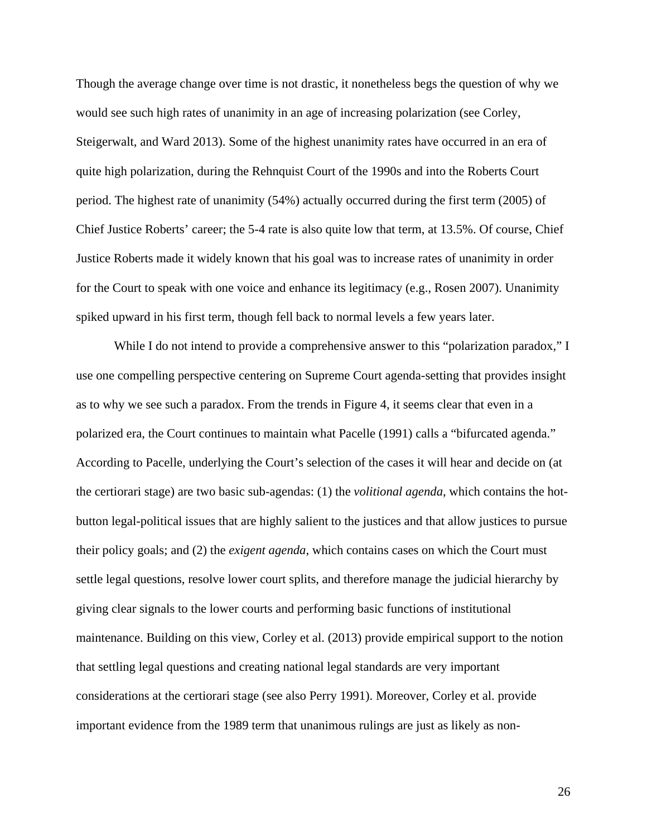Though the average change over time is not drastic, it nonetheless begs the question of why we would see such high rates of unanimity in an age of increasing polarization (see Corley, Steigerwalt, and Ward 2013). Some of the highest unanimity rates have occurred in an era of quite high polarization, during the Rehnquist Court of the 1990s and into the Roberts Court period. The highest rate of unanimity (54%) actually occurred during the first term (2005) of Chief Justice Roberts' career; the 5-4 rate is also quite low that term, at 13.5%. Of course, Chief Justice Roberts made it widely known that his goal was to increase rates of unanimity in order for the Court to speak with one voice and enhance its legitimacy (e.g., Rosen 2007). Unanimity spiked upward in his first term, though fell back to normal levels a few years later.

While I do not intend to provide a comprehensive answer to this "polarization paradox," I use one compelling perspective centering on Supreme Court agenda-setting that provides insight as to why we see such a paradox. From the trends in Figure 4, it seems clear that even in a polarized era, the Court continues to maintain what Pacelle (1991) calls a "bifurcated agenda." According to Pacelle, underlying the Court's selection of the cases it will hear and decide on (at the certiorari stage) are two basic sub-agendas: (1) the *volitional agenda*, which contains the hotbutton legal-political issues that are highly salient to the justices and that allow justices to pursue their policy goals; and (2) the *exigent agenda*, which contains cases on which the Court must settle legal questions, resolve lower court splits, and therefore manage the judicial hierarchy by giving clear signals to the lower courts and performing basic functions of institutional maintenance. Building on this view, Corley et al. (2013) provide empirical support to the notion that settling legal questions and creating national legal standards are very important considerations at the certiorari stage (see also Perry 1991). Moreover, Corley et al. provide important evidence from the 1989 term that unanimous rulings are just as likely as non-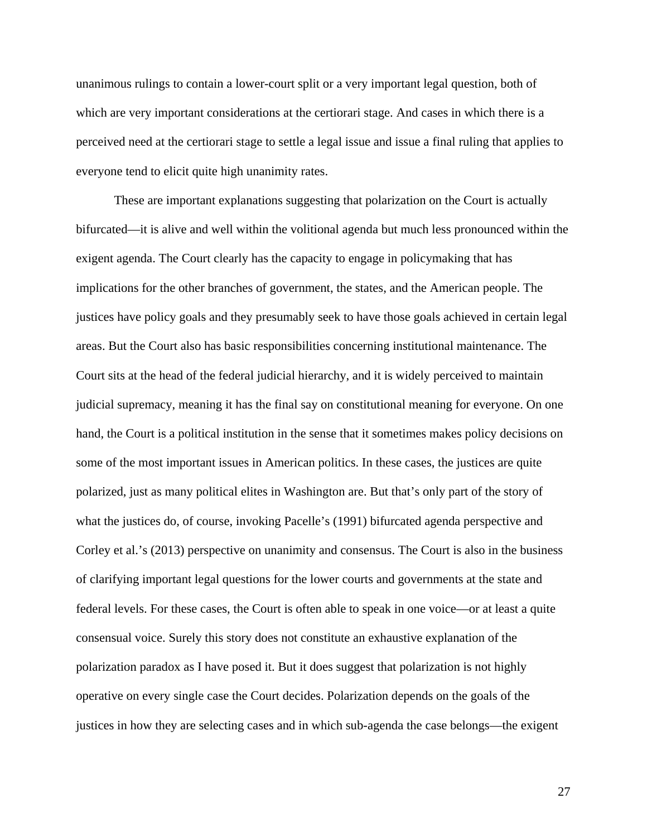unanimous rulings to contain a lower-court split or a very important legal question, both of which are very important considerations at the certiorari stage. And cases in which there is a perceived need at the certiorari stage to settle a legal issue and issue a final ruling that applies to everyone tend to elicit quite high unanimity rates.

These are important explanations suggesting that polarization on the Court is actually bifurcated—it is alive and well within the volitional agenda but much less pronounced within the exigent agenda. The Court clearly has the capacity to engage in policymaking that has implications for the other branches of government, the states, and the American people. The justices have policy goals and they presumably seek to have those goals achieved in certain legal areas. But the Court also has basic responsibilities concerning institutional maintenance. The Court sits at the head of the federal judicial hierarchy, and it is widely perceived to maintain judicial supremacy, meaning it has the final say on constitutional meaning for everyone. On one hand, the Court is a political institution in the sense that it sometimes makes policy decisions on some of the most important issues in American politics. In these cases, the justices are quite polarized, just as many political elites in Washington are. But that's only part of the story of what the justices do, of course, invoking Pacelle's (1991) bifurcated agenda perspective and Corley et al.'s (2013) perspective on unanimity and consensus. The Court is also in the business of clarifying important legal questions for the lower courts and governments at the state and federal levels. For these cases, the Court is often able to speak in one voice—or at least a quite consensual voice. Surely this story does not constitute an exhaustive explanation of the polarization paradox as I have posed it. But it does suggest that polarization is not highly operative on every single case the Court decides. Polarization depends on the goals of the justices in how they are selecting cases and in which sub-agenda the case belongs—the exigent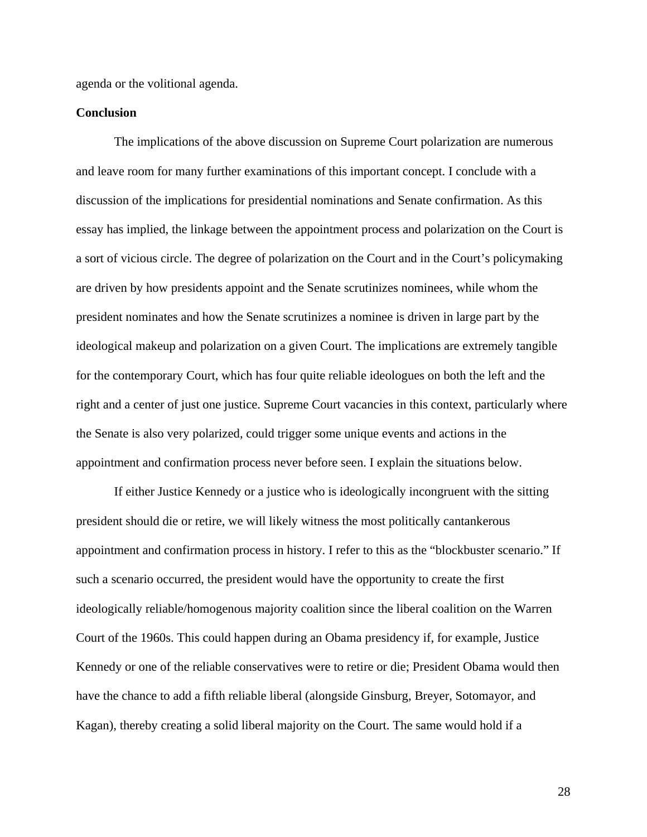agenda or the volitional agenda.

### **Conclusion**

The implications of the above discussion on Supreme Court polarization are numerous and leave room for many further examinations of this important concept. I conclude with a discussion of the implications for presidential nominations and Senate confirmation. As this essay has implied, the linkage between the appointment process and polarization on the Court is a sort of vicious circle. The degree of polarization on the Court and in the Court's policymaking are driven by how presidents appoint and the Senate scrutinizes nominees, while whom the president nominates and how the Senate scrutinizes a nominee is driven in large part by the ideological makeup and polarization on a given Court. The implications are extremely tangible for the contemporary Court, which has four quite reliable ideologues on both the left and the right and a center of just one justice. Supreme Court vacancies in this context, particularly where the Senate is also very polarized, could trigger some unique events and actions in the appointment and confirmation process never before seen. I explain the situations below.

If either Justice Kennedy or a justice who is ideologically incongruent with the sitting president should die or retire, we will likely witness the most politically cantankerous appointment and confirmation process in history. I refer to this as the "blockbuster scenario." If such a scenario occurred, the president would have the opportunity to create the first ideologically reliable/homogenous majority coalition since the liberal coalition on the Warren Court of the 1960s. This could happen during an Obama presidency if, for example, Justice Kennedy or one of the reliable conservatives were to retire or die; President Obama would then have the chance to add a fifth reliable liberal (alongside Ginsburg, Breyer, Sotomayor, and Kagan), thereby creating a solid liberal majority on the Court. The same would hold if a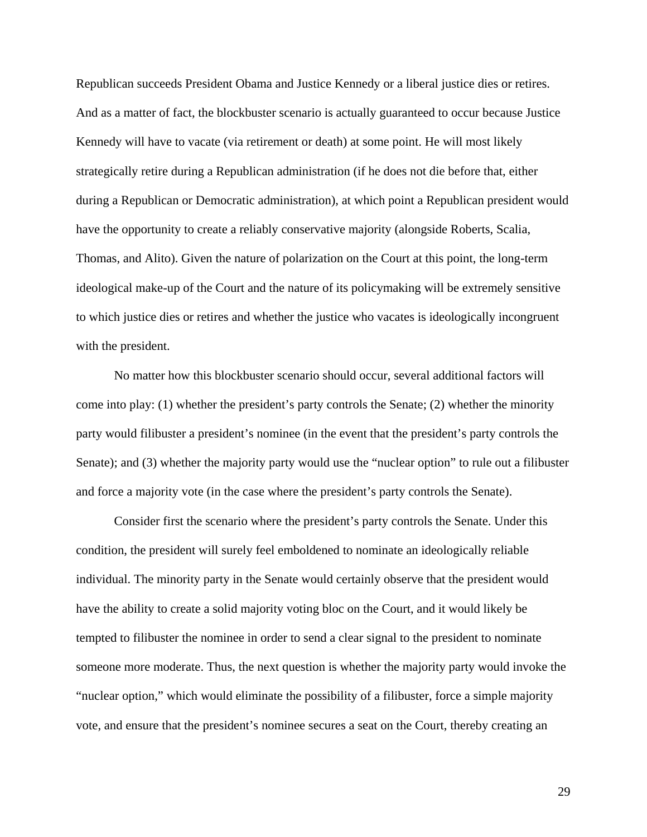Republican succeeds President Obama and Justice Kennedy or a liberal justice dies or retires. And as a matter of fact, the blockbuster scenario is actually guaranteed to occur because Justice Kennedy will have to vacate (via retirement or death) at some point. He will most likely strategically retire during a Republican administration (if he does not die before that, either during a Republican or Democratic administration), at which point a Republican president would have the opportunity to create a reliably conservative majority (alongside Roberts, Scalia, Thomas, and Alito). Given the nature of polarization on the Court at this point, the long-term ideological make-up of the Court and the nature of its policymaking will be extremely sensitive to which justice dies or retires and whether the justice who vacates is ideologically incongruent with the president.

No matter how this blockbuster scenario should occur, several additional factors will come into play: (1) whether the president's party controls the Senate; (2) whether the minority party would filibuster a president's nominee (in the event that the president's party controls the Senate); and (3) whether the majority party would use the "nuclear option" to rule out a filibuster and force a majority vote (in the case where the president's party controls the Senate).

Consider first the scenario where the president's party controls the Senate. Under this condition, the president will surely feel emboldened to nominate an ideologically reliable individual. The minority party in the Senate would certainly observe that the president would have the ability to create a solid majority voting bloc on the Court, and it would likely be tempted to filibuster the nominee in order to send a clear signal to the president to nominate someone more moderate. Thus, the next question is whether the majority party would invoke the "nuclear option," which would eliminate the possibility of a filibuster, force a simple majority vote, and ensure that the president's nominee secures a seat on the Court, thereby creating an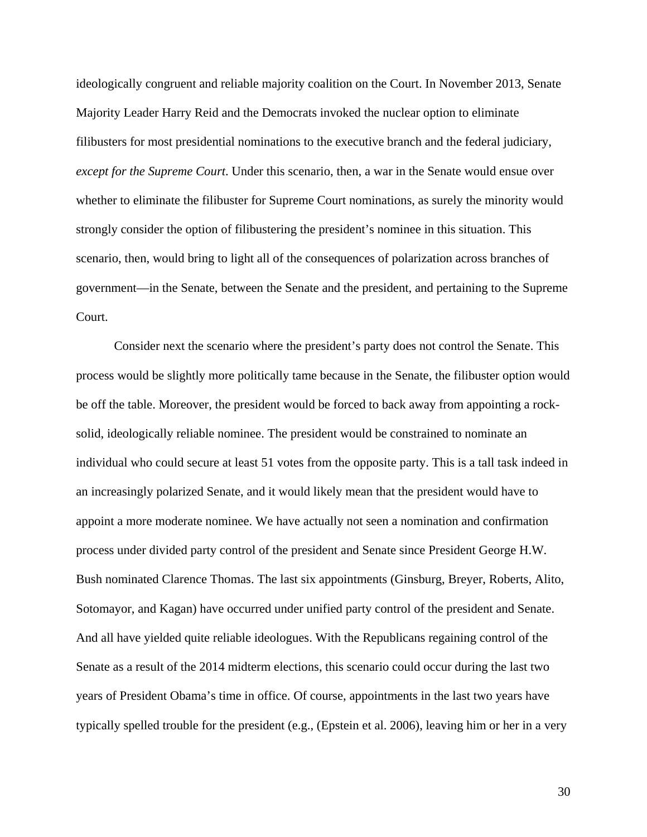ideologically congruent and reliable majority coalition on the Court. In November 2013, Senate Majority Leader Harry Reid and the Democrats invoked the nuclear option to eliminate filibusters for most presidential nominations to the executive branch and the federal judiciary, *except for the Supreme Court*. Under this scenario, then, a war in the Senate would ensue over whether to eliminate the filibuster for Supreme Court nominations, as surely the minority would strongly consider the option of filibustering the president's nominee in this situation. This scenario, then, would bring to light all of the consequences of polarization across branches of government—in the Senate, between the Senate and the president, and pertaining to the Supreme Court.

Consider next the scenario where the president's party does not control the Senate. This process would be slightly more politically tame because in the Senate, the filibuster option would be off the table. Moreover, the president would be forced to back away from appointing a rocksolid, ideologically reliable nominee. The president would be constrained to nominate an individual who could secure at least 51 votes from the opposite party. This is a tall task indeed in an increasingly polarized Senate, and it would likely mean that the president would have to appoint a more moderate nominee. We have actually not seen a nomination and confirmation process under divided party control of the president and Senate since President George H.W. Bush nominated Clarence Thomas. The last six appointments (Ginsburg, Breyer, Roberts, Alito, Sotomayor, and Kagan) have occurred under unified party control of the president and Senate. And all have yielded quite reliable ideologues. With the Republicans regaining control of the Senate as a result of the 2014 midterm elections, this scenario could occur during the last two years of President Obama's time in office. Of course, appointments in the last two years have typically spelled trouble for the president (e.g., (Epstein et al. 2006), leaving him or her in a very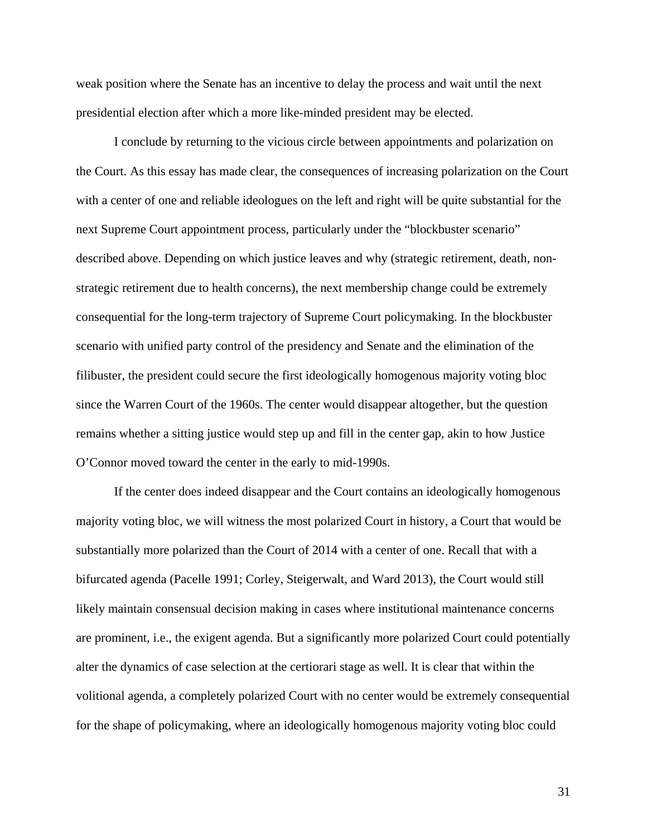weak position where the Senate has an incentive to delay the process and wait until the next presidential election after which a more like-minded president may be elected.

I conclude by returning to the vicious circle between appointments and polarization on the Court. As this essay has made clear, the consequences of increasing polarization on the Court with a center of one and reliable ideologues on the left and right will be quite substantial for the next Supreme Court appointment process, particularly under the "blockbuster scenario" described above. Depending on which justice leaves and why (strategic retirement, death, nonstrategic retirement due to health concerns), the next membership change could be extremely consequential for the long-term trajectory of Supreme Court policymaking. In the blockbuster scenario with unified party control of the presidency and Senate and the elimination of the filibuster, the president could secure the first ideologically homogenous majority voting bloc since the Warren Court of the 1960s. The center would disappear altogether, but the question remains whether a sitting justice would step up and fill in the center gap, akin to how Justice O'Connor moved toward the center in the early to mid-1990s.

If the center does indeed disappear and the Court contains an ideologically homogenous majority voting bloc, we will witness the most polarized Court in history, a Court that would be substantially more polarized than the Court of 2014 with a center of one. Recall that with a bifurcated agenda (Pacelle 1991; Corley, Steigerwalt, and Ward 2013), the Court would still likely maintain consensual decision making in cases where institutional maintenance concerns are prominent, i.e., the exigent agenda. But a significantly more polarized Court could potentially alter the dynamics of case selection at the certiorari stage as well. It is clear that within the volitional agenda, a completely polarized Court with no center would be extremely consequential for the shape of policymaking, where an ideologically homogenous majority voting bloc could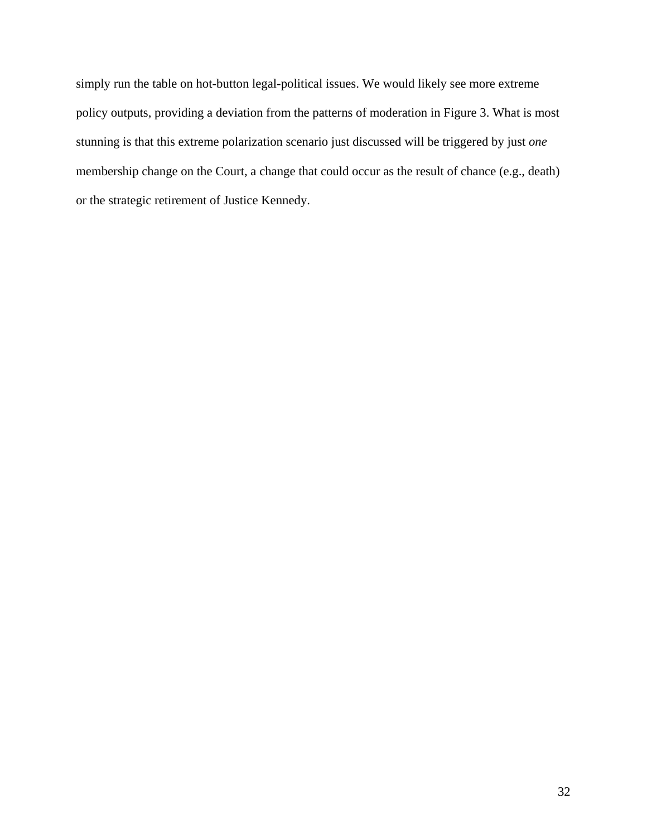simply run the table on hot-button legal-political issues. We would likely see more extreme policy outputs, providing a deviation from the patterns of moderation in Figure 3. What is most stunning is that this extreme polarization scenario just discussed will be triggered by just *one* membership change on the Court, a change that could occur as the result of chance (e.g., death) or the strategic retirement of Justice Kennedy.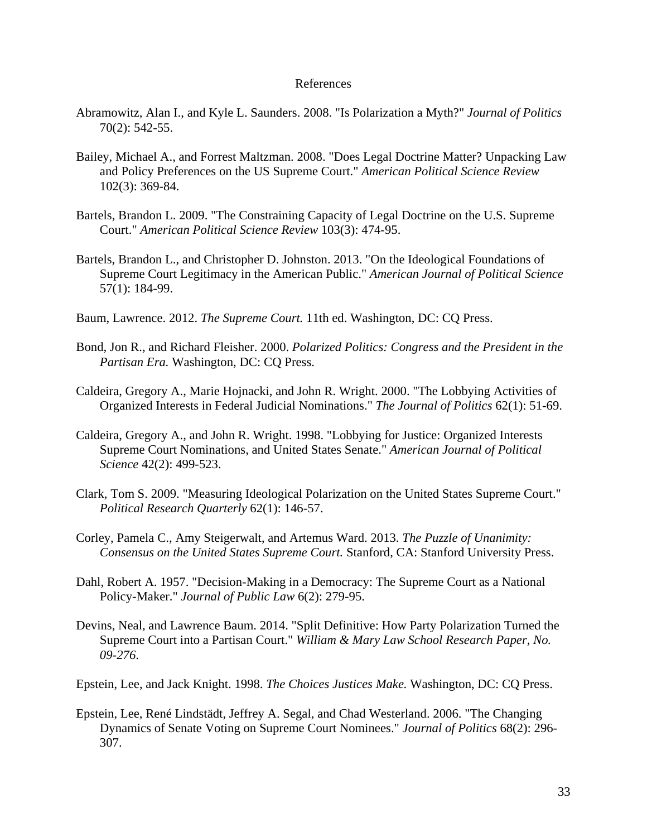### References

- Abramowitz, Alan I., and Kyle L. Saunders. 2008. "Is Polarization a Myth?" *Journal of Politics* 70(2): 542-55.
- Bailey, Michael A., and Forrest Maltzman. 2008. "Does Legal Doctrine Matter? Unpacking Law and Policy Preferences on the US Supreme Court." *American Political Science Review* 102(3): 369-84.
- Bartels, Brandon L. 2009. "The Constraining Capacity of Legal Doctrine on the U.S. Supreme Court." *American Political Science Review* 103(3): 474-95.
- Bartels, Brandon L., and Christopher D. Johnston. 2013. "On the Ideological Foundations of Supreme Court Legitimacy in the American Public." *American Journal of Political Science* 57(1): 184-99.
- Baum, Lawrence. 2012. *The Supreme Court.* 11th ed. Washington, DC: CQ Press.
- Bond, Jon R., and Richard Fleisher. 2000. *Polarized Politics: Congress and the President in the Partisan Era.* Washington, DC: CQ Press.
- Caldeira, Gregory A., Marie Hojnacki, and John R. Wright. 2000. "The Lobbying Activities of Organized Interests in Federal Judicial Nominations." *The Journal of Politics* 62(1): 51-69.
- Caldeira, Gregory A., and John R. Wright. 1998. "Lobbying for Justice: Organized Interests Supreme Court Nominations, and United States Senate." *American Journal of Political Science* 42(2): 499-523.
- Clark, Tom S. 2009. "Measuring Ideological Polarization on the United States Supreme Court." *Political Research Quarterly* 62(1): 146-57.
- Corley, Pamela C., Amy Steigerwalt, and Artemus Ward. 2013. *The Puzzle of Unanimity: Consensus on the United States Supreme Court.* Stanford, CA: Stanford University Press.
- Dahl, Robert A. 1957. "Decision-Making in a Democracy: The Supreme Court as a National Policy-Maker." *Journal of Public Law* 6(2): 279-95.
- Devins, Neal, and Lawrence Baum. 2014. "Split Definitive: How Party Polarization Turned the Supreme Court into a Partisan Court." *William & Mary Law School Research Paper, No. 09-276*.

Epstein, Lee, and Jack Knight. 1998. *The Choices Justices Make.* Washington, DC: CQ Press.

Epstein, Lee, René Lindstädt, Jeffrey A. Segal, and Chad Westerland. 2006. "The Changing Dynamics of Senate Voting on Supreme Court Nominees." *Journal of Politics* 68(2): 296- 307.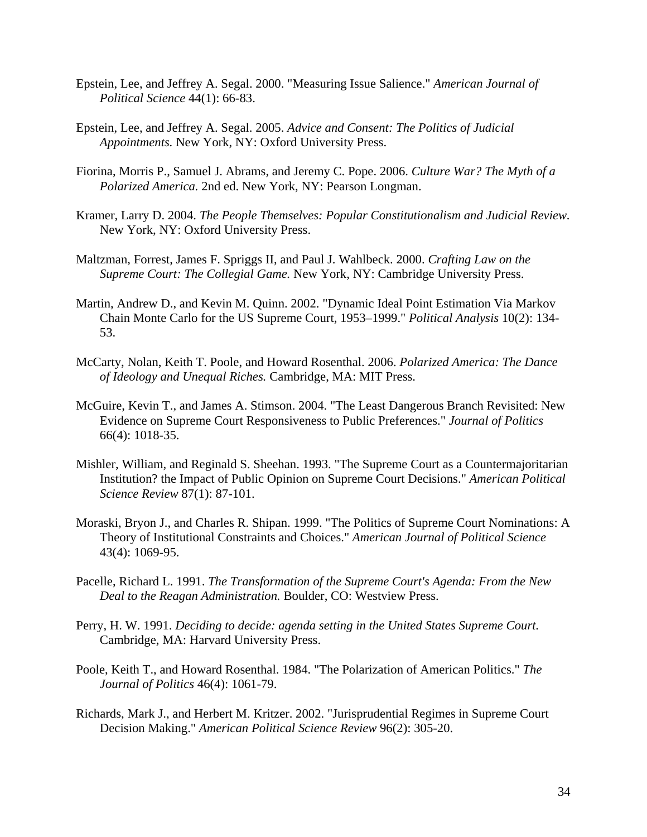- Epstein, Lee, and Jeffrey A. Segal. 2000. "Measuring Issue Salience." *American Journal of Political Science* 44(1): 66-83.
- Epstein, Lee, and Jeffrey A. Segal. 2005. *Advice and Consent: The Politics of Judicial Appointments.* New York, NY: Oxford University Press.
- Fiorina, Morris P., Samuel J. Abrams, and Jeremy C. Pope. 2006. *Culture War? The Myth of a Polarized America.* 2nd ed. New York, NY: Pearson Longman.
- Kramer, Larry D. 2004. *The People Themselves: Popular Constitutionalism and Judicial Review.* New York, NY: Oxford University Press.
- Maltzman, Forrest, James F. Spriggs II, and Paul J. Wahlbeck. 2000. *Crafting Law on the Supreme Court: The Collegial Game.* New York, NY: Cambridge University Press.
- Martin, Andrew D., and Kevin M. Quinn. 2002. "Dynamic Ideal Point Estimation Via Markov Chain Monte Carlo for the US Supreme Court, 1953–1999." *Political Analysis* 10(2): 134- 53.
- McCarty, Nolan, Keith T. Poole, and Howard Rosenthal. 2006. *Polarized America: The Dance of Ideology and Unequal Riches.* Cambridge, MA: MIT Press.
- McGuire, Kevin T., and James A. Stimson. 2004. "The Least Dangerous Branch Revisited: New Evidence on Supreme Court Responsiveness to Public Preferences." *Journal of Politics* 66(4): 1018-35.
- Mishler, William, and Reginald S. Sheehan. 1993. "The Supreme Court as a Countermajoritarian Institution? the Impact of Public Opinion on Supreme Court Decisions." *American Political Science Review* 87(1): 87-101.
- Moraski, Bryon J., and Charles R. Shipan. 1999. "The Politics of Supreme Court Nominations: A Theory of Institutional Constraints and Choices." *American Journal of Political Science* 43(4): 1069-95.
- Pacelle, Richard L. 1991. *The Transformation of the Supreme Court's Agenda: From the New Deal to the Reagan Administration.* Boulder, CO: Westview Press.
- Perry, H. W. 1991. *Deciding to decide: agenda setting in the United States Supreme Court.* Cambridge, MA: Harvard University Press.
- Poole, Keith T., and Howard Rosenthal. 1984. "The Polarization of American Politics." *The Journal of Politics* 46(4): 1061-79.
- Richards, Mark J., and Herbert M. Kritzer. 2002. "Jurisprudential Regimes in Supreme Court Decision Making." *American Political Science Review* 96(2): 305-20.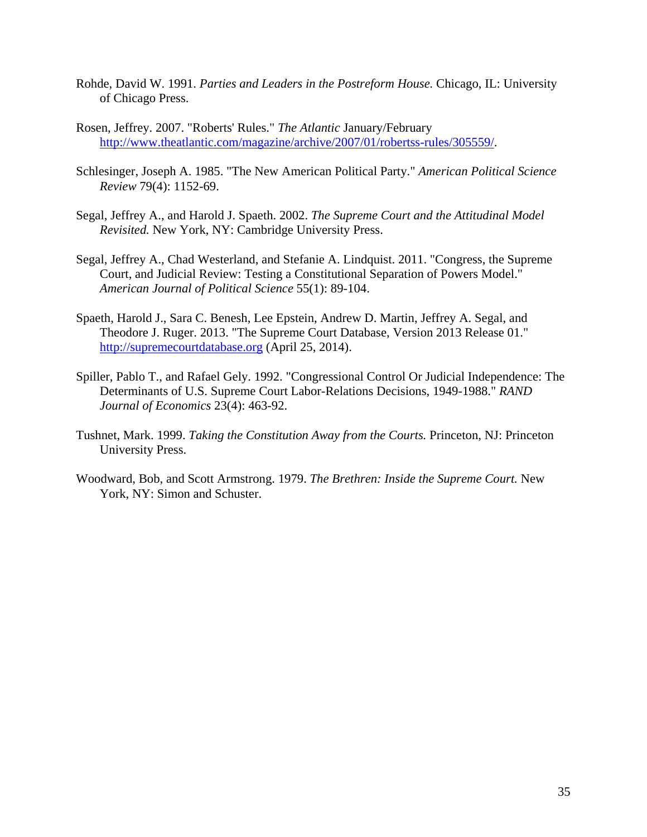- Rohde, David W. 1991. *Parties and Leaders in the Postreform House.* Chicago, IL: University of Chicago Press.
- Rosen, Jeffrey. 2007. "Roberts' Rules." *The Atlantic* January/February http://www.theatlantic.com/magazine/archive/2007/01/robertss-rules/305559/.
- Schlesinger, Joseph A. 1985. "The New American Political Party." *American Political Science Review* 79(4): 1152-69.
- Segal, Jeffrey A., and Harold J. Spaeth. 2002. *The Supreme Court and the Attitudinal Model Revisited.* New York, NY: Cambridge University Press.
- Segal, Jeffrey A., Chad Westerland, and Stefanie A. Lindquist. 2011. "Congress, the Supreme Court, and Judicial Review: Testing a Constitutional Separation of Powers Model." *American Journal of Political Science* 55(1): 89-104.
- Spaeth, Harold J., Sara C. Benesh, Lee Epstein, Andrew D. Martin, Jeffrey A. Segal, and Theodore J. Ruger. 2013. "The Supreme Court Database, Version 2013 Release 01." http://supremecourtdatabase.org (April 25, 2014).
- Spiller, Pablo T., and Rafael Gely. 1992. "Congressional Control Or Judicial Independence: The Determinants of U.S. Supreme Court Labor-Relations Decisions, 1949-1988." *RAND Journal of Economics* 23(4): 463-92.
- Tushnet, Mark. 1999. *Taking the Constitution Away from the Courts.* Princeton, NJ: Princeton University Press.
- Woodward, Bob, and Scott Armstrong. 1979. *The Brethren: Inside the Supreme Court.* New York, NY: Simon and Schuster.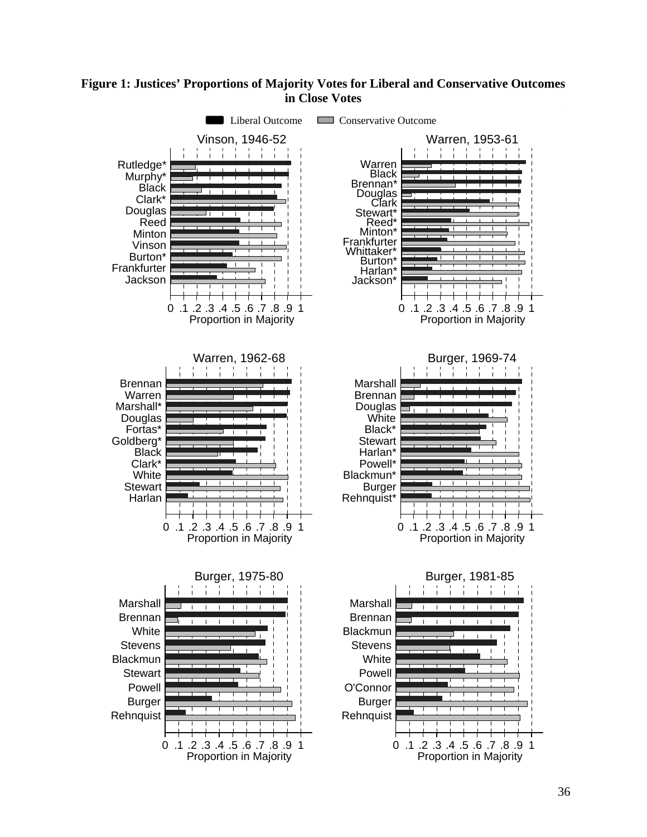

## **Figure 1: Justices' Proportions of Majority Votes for Liberal and Conservative Outcomes in Close Votes**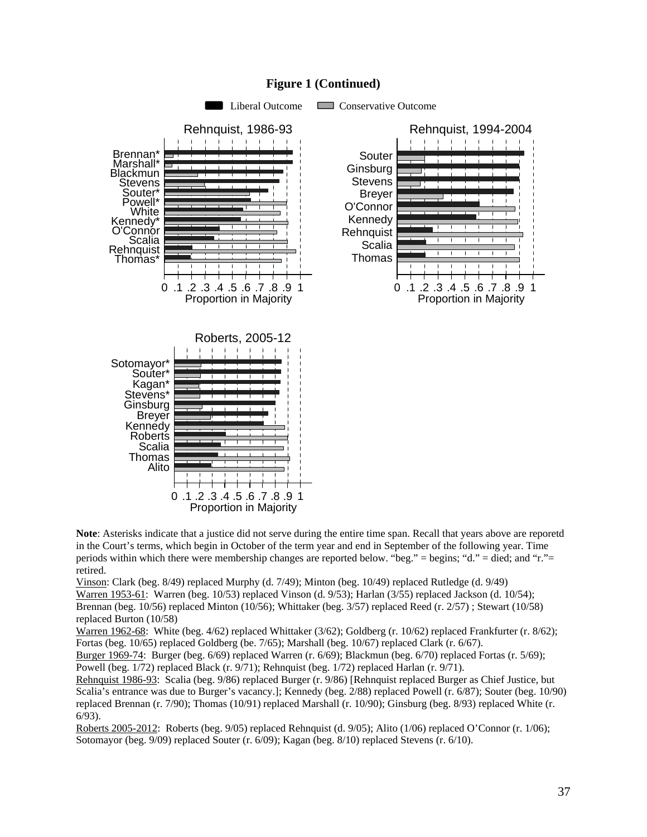

# **Figure 1 (Continued)**

**Note**: Asterisks indicate that a justice did not serve during the entire time span. Recall that years above are reporetd in the Court's terms, which begin in October of the term year and end in September of the following year. Time periods within which there were membership changes are reported below. "beg." = begins; "d." = died; and "r."= retired.

Vinson: Clark (beg. 8/49) replaced Murphy (d. 7/49); Minton (beg. 10/49) replaced Rutledge (d. 9/49) Warren 1953-61: Warren (beg. 10/53) replaced Vinson (d. 9/53); Harlan (3/55) replaced Jackson (d. 10/54); Brennan (beg. 10/56) replaced Minton (10/56); Whittaker (beg. 3/57) replaced Reed (r. 2/57) ; Stewart (10/58) replaced Burton (10/58)

Warren 1962-68: White (beg. 4/62) replaced Whittaker (3/62); Goldberg (r. 10/62) replaced Frankfurter (r. 8/62); Fortas (beg. 10/65) replaced Goldberg (be. 7/65); Marshall (beg. 10/67) replaced Clark (r. 6/67).

Burger 1969-74: Burger (beg. 6/69) replaced Warren (r. 6/69); Blackmun (beg. 6/70) replaced Fortas (r. 5/69); Powell (beg. 1/72) replaced Black (r. 9/71); Rehnquist (beg. 1/72) replaced Harlan (r. 9/71).

Rehnquist 1986-93: Scalia (beg. 9/86) replaced Burger (r. 9/86) [Rehnquist replaced Burger as Chief Justice, but Scalia's entrance was due to Burger's vacancy.]; Kennedy (beg. 2/88) replaced Powell (r. 6/87); Souter (beg. 10/90) replaced Brennan (r. 7/90); Thomas (10/91) replaced Marshall (r. 10/90); Ginsburg (beg. 8/93) replaced White (r. 6/93).

Roberts 2005-2012: Roberts (beg. 9/05) replaced Rehnquist (d. 9/05); Alito (1/06) replaced O'Connor (r. 1/06); Sotomayor (beg. 9/09) replaced Souter (r. 6/09); Kagan (beg. 8/10) replaced Stevens (r. 6/10).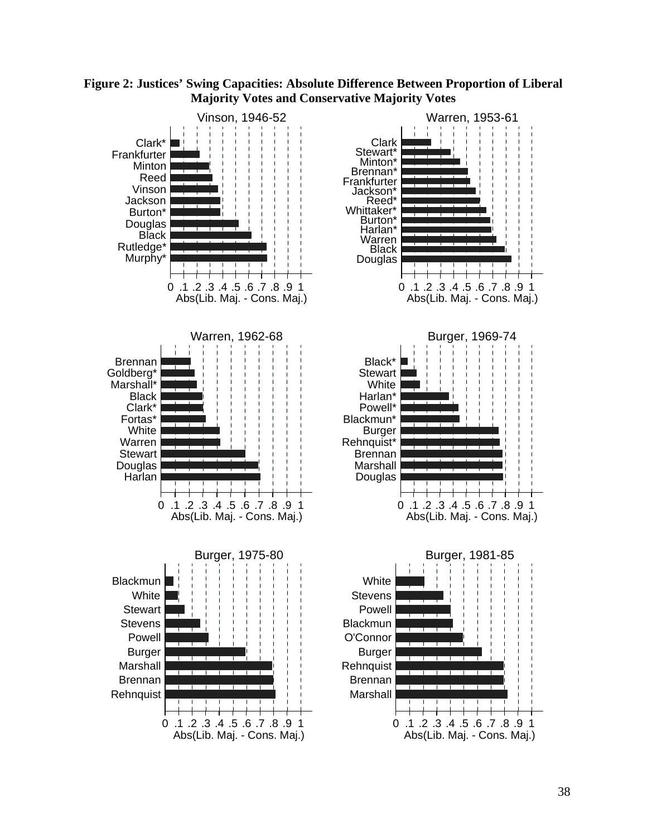

**Figure 2: Justices' Swing Capacities: Absolute Difference Between Proportion of Liberal Majority Votes and Conservative Majority Votes**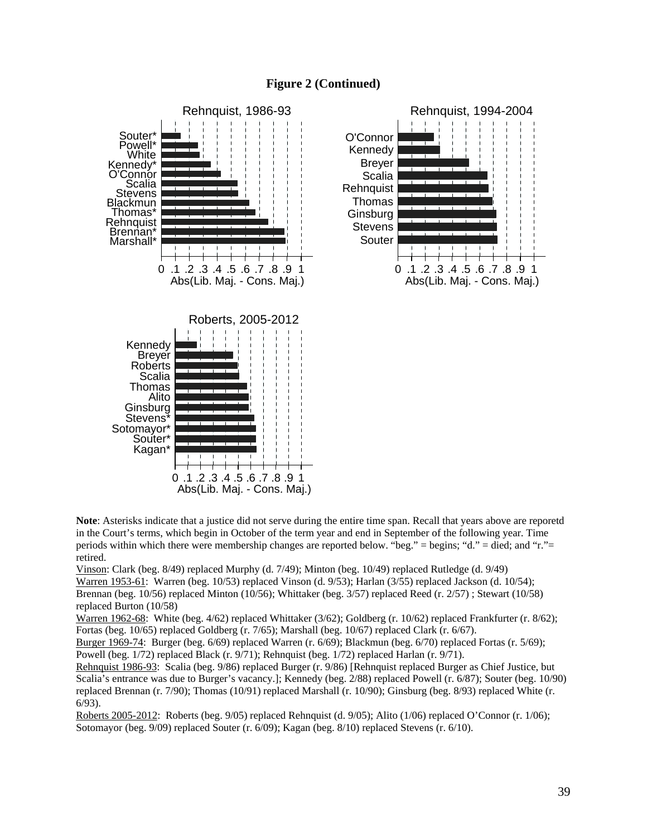

**Note**: Asterisks indicate that a justice did not serve during the entire time span. Recall that years above are reporetd in the Court's terms, which begin in October of the term year and end in September of the following year. Time periods within which there were membership changes are reported below. "beg." = begins; "d." = died; and "r."= retired.

Vinson: Clark (beg. 8/49) replaced Murphy (d. 7/49); Minton (beg. 10/49) replaced Rutledge (d. 9/49) Warren 1953-61: Warren (beg. 10/53) replaced Vinson (d. 9/53); Harlan (3/55) replaced Jackson (d. 10/54); Brennan (beg. 10/56) replaced Minton (10/56); Whittaker (beg. 3/57) replaced Reed (r. 2/57) ; Stewart (10/58) replaced Burton (10/58)

Warren 1962-68: White (beg. 4/62) replaced Whittaker (3/62); Goldberg (r. 10/62) replaced Frankfurter (r. 8/62); Fortas (beg. 10/65) replaced Goldberg (r. 7/65); Marshall (beg. 10/67) replaced Clark (r. 6/67).

Burger 1969-74: Burger (beg. 6/69) replaced Warren (r. 6/69); Blackmun (beg. 6/70) replaced Fortas (r. 5/69); Powell (beg. 1/72) replaced Black (r. 9/71); Rehnquist (beg. 1/72) replaced Harlan (r. 9/71).

Rehnquist 1986-93: Scalia (beg. 9/86) replaced Burger (r. 9/86) [Rehnquist replaced Burger as Chief Justice, but Scalia's entrance was due to Burger's vacancy.]; Kennedy (beg. 2/88) replaced Powell (r. 6/87); Souter (beg. 10/90) replaced Brennan (r. 7/90); Thomas (10/91) replaced Marshall (r. 10/90); Ginsburg (beg. 8/93) replaced White (r. 6/93).

Roberts 2005-2012: Roberts (beg. 9/05) replaced Rehnquist (d. 9/05); Alito (1/06) replaced O'Connor (r. 1/06); Sotomayor (beg. 9/09) replaced Souter (r. 6/09); Kagan (beg. 8/10) replaced Stevens (r. 6/10).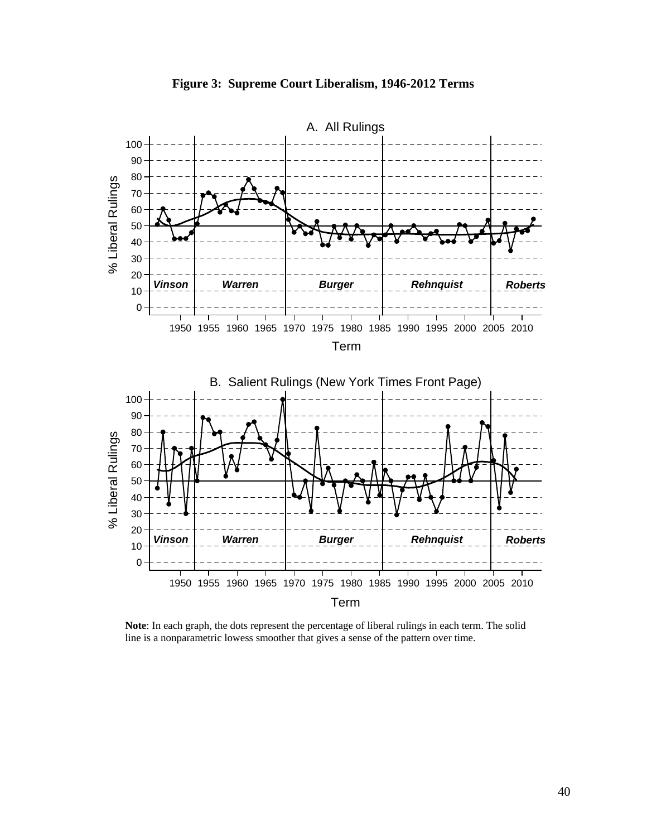

**Figure 3: Supreme Court Liberalism, 1946-2012 Terms** 

**Note**: In each graph, the dots represent the percentage of liberal rulings in each term. The solid line is a nonparametric lowess smoother that gives a sense of the pattern over time.